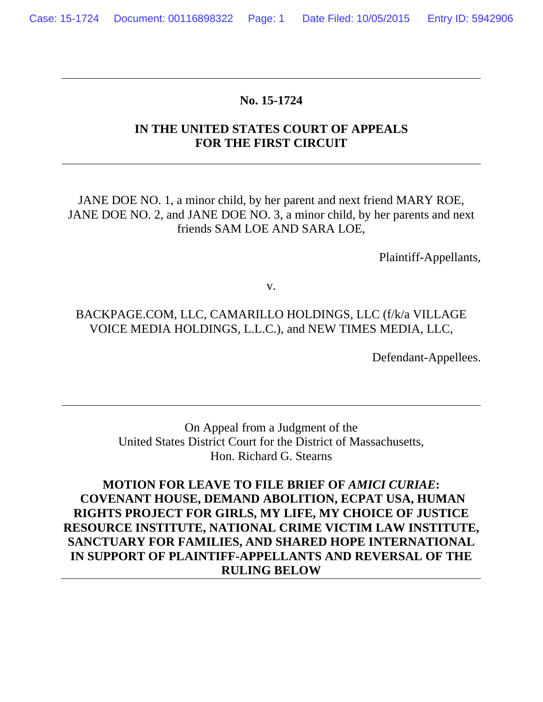#### **No. 15-1724**

## **IN THE UNITED STATES COURT OF APPEALS FOR THE FIRST CIRCUIT**

JANE DOE NO. 1, a minor child, by her parent and next friend MARY ROE, JANE DOE NO. 2, and JANE DOE NO. 3, a minor child, by her parents and next friends SAM LOE AND SARA LOE,

Plaintiff-Appellants,

v.

## BACKPAGE.COM, LLC, CAMARILLO HOLDINGS, LLC (f/k/a VILLAGE VOICE MEDIA HOLDINGS, L.L.C.), and NEW TIMES MEDIA, LLC,

Defendant-Appellees.

On Appeal from a Judgment of the United States District Court for the District of Massachusetts, Hon. Richard G. Stearns

**MOTION FOR LEAVE TO FILE BRIEF OF** *AMICI CURIAE***: COVENANT HOUSE, DEMAND ABOLITION, ECPAT USA, HUMAN RIGHTS PROJECT FOR GIRLS, MY LIFE, MY CHOICE OF JUSTICE RESOURCE INSTITUTE, NATIONAL CRIME VICTIM LAW INSTITUTE, SANCTUARY FOR FAMILIES, AND SHARED HOPE INTERNATIONAL IN SUPPORT OF PLAINTIFF-APPELLANTS AND REVERSAL OF THE RULING BELOW**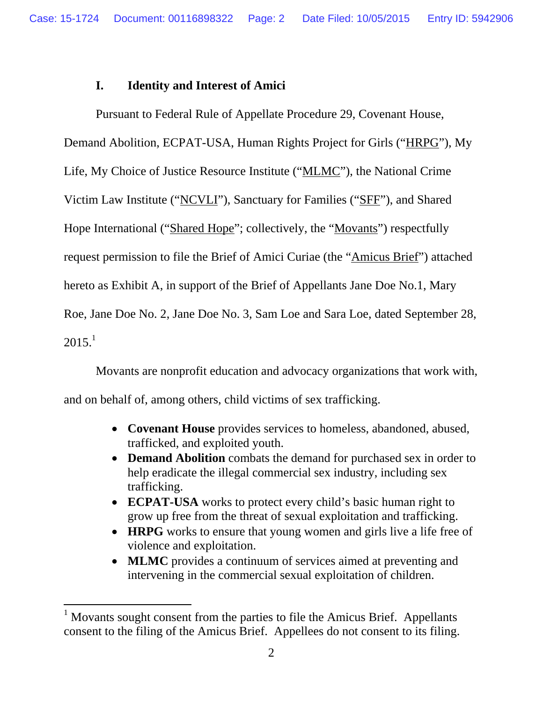## **I. Identity and Interest of Amici**

Pursuant to Federal Rule of Appellate Procedure 29, Covenant House,

Demand Abolition, ECPAT-USA, Human Rights Project for Girls ("HRPG"), My

Life, My Choice of Justice Resource Institute ("MLMC"), the National Crime

Victim Law Institute ("NCVLI"), Sanctuary for Families ("SFF"), and Shared

Hope International ("Shared Hope"; collectively, the "Movants") respectfully

request permission to file the Brief of Amici Curiae (the "Amicus Brief") attached

hereto as Exhibit A, in support of the Brief of Appellants Jane Doe No.1, Mary

Roe, Jane Doe No. 2, Jane Doe No. 3, Sam Loe and Sara Loe, dated September 28,

 $2015.<sup>1</sup>$ 

 $\overline{a}$ 

Movants are nonprofit education and advocacy organizations that work with,

and on behalf of, among others, child victims of sex trafficking.

- **Covenant House** provides services to homeless, abandoned, abused, trafficked, and exploited youth.
- **Demand Abolition** combats the demand for purchased sex in order to help eradicate the illegal commercial sex industry, including sex trafficking.
- **ECPAT-USA** works to protect every child's basic human right to grow up free from the threat of sexual exploitation and trafficking.
- **HRPG** works to ensure that young women and girls live a life free of violence and exploitation.
- **MLMC** provides a continuum of services aimed at preventing and intervening in the commercial sexual exploitation of children.

<sup>&</sup>lt;sup>1</sup> Movants sought consent from the parties to file the Amicus Brief. Appellants consent to the filing of the Amicus Brief. Appellees do not consent to its filing.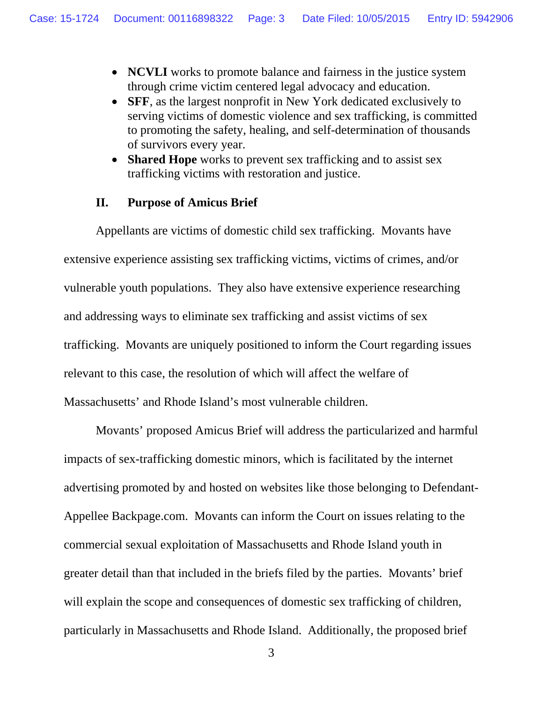- **NCVLI** works to promote balance and fairness in the justice system through crime victim centered legal advocacy and education.
- **SFF**, as the largest nonprofit in New York dedicated exclusively to serving victims of domestic violence and sex trafficking, is committed to promoting the safety, healing, and self-determination of thousands of survivors every year.
- **Shared Hope** works to prevent sex trafficking and to assist sex trafficking victims with restoration and justice.

#### **II. Purpose of Amicus Brief**

Appellants are victims of domestic child sex trafficking. Movants have extensive experience assisting sex trafficking victims, victims of crimes, and/or vulnerable youth populations. They also have extensive experience researching and addressing ways to eliminate sex trafficking and assist victims of sex trafficking. Movants are uniquely positioned to inform the Court regarding issues relevant to this case, the resolution of which will affect the welfare of Massachusetts' and Rhode Island's most vulnerable children.

Movants' proposed Amicus Brief will address the particularized and harmful impacts of sex-trafficking domestic minors, which is facilitated by the internet advertising promoted by and hosted on websites like those belonging to Defendant-Appellee Backpage.com. Movants can inform the Court on issues relating to the commercial sexual exploitation of Massachusetts and Rhode Island youth in greater detail than that included in the briefs filed by the parties. Movants' brief will explain the scope and consequences of domestic sex trafficking of children, particularly in Massachusetts and Rhode Island. Additionally, the proposed brief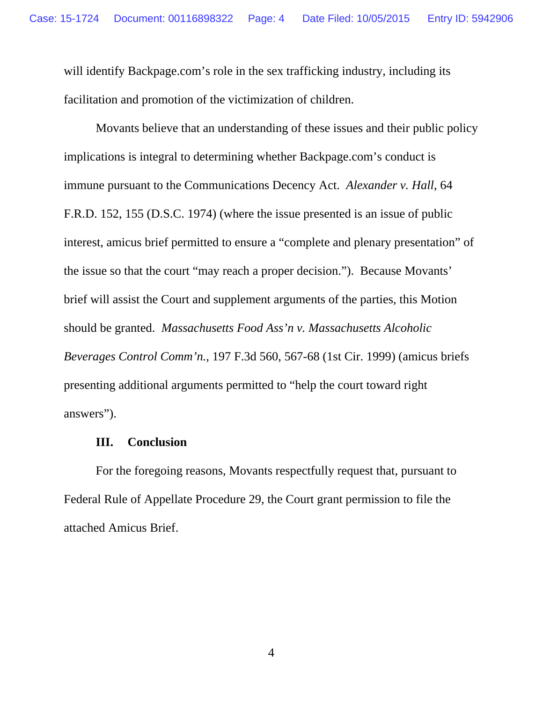will identify Backpage.com's role in the sex trafficking industry, including its facilitation and promotion of the victimization of children.

Movants believe that an understanding of these issues and their public policy implications is integral to determining whether Backpage.com's conduct is immune pursuant to the Communications Decency Act. *Alexander v. Hall*, 64 F.R.D. 152, 155 (D.S.C. 1974) (where the issue presented is an issue of public interest, amicus brief permitted to ensure a "complete and plenary presentation" of the issue so that the court "may reach a proper decision."). Because Movants' brief will assist the Court and supplement arguments of the parties, this Motion should be granted. *Massachusetts Food Ass'n v. Massachusetts Alcoholic Beverages Control Comm'n.*, 197 F.3d 560, 567-68 (1st Cir. 1999) (amicus briefs presenting additional arguments permitted to "help the court toward right answers").

#### **III. Conclusion**

For the foregoing reasons, Movants respectfully request that, pursuant to Federal Rule of Appellate Procedure 29, the Court grant permission to file the attached Amicus Brief.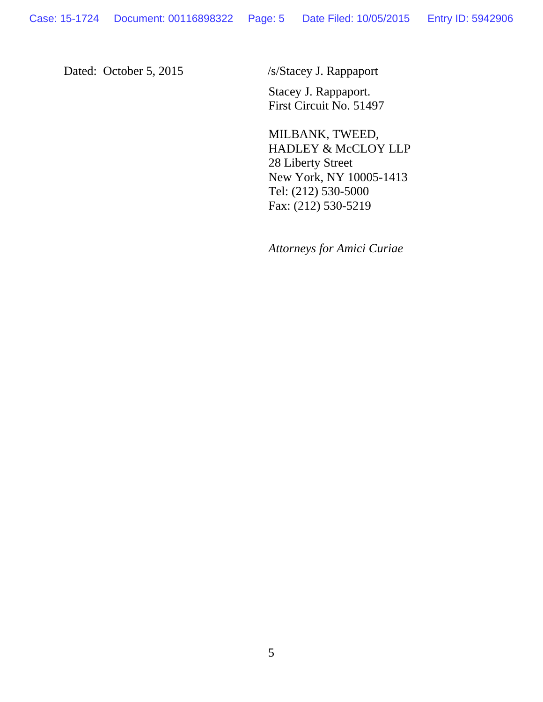Dated: October 5, 2015 /s/Stacey J. Rappaport

 Stacey J. Rappaport. First Circuit No. 51497

MILBANK, TWEED, HADLEY & McCLOY LLP 28 Liberty Street New York, NY 10005-1413 Tel: (212) 530-5000 Fax: (212) 530-5219

*Attorneys for Amici Curiae*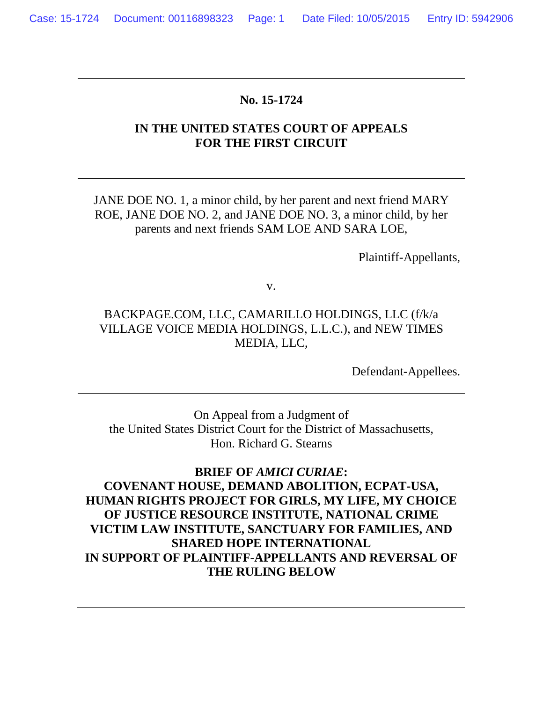#### **No. 15-1724**

## **IN THE UNITED STATES COURT OF APPEALS FOR THE FIRST CIRCUIT**

JANE DOE NO. 1, a minor child, by her parent and next friend MARY ROE, JANE DOE NO. 2, and JANE DOE NO. 3, a minor child, by her parents and next friends SAM LOE AND SARA LOE,

Plaintiff-Appellants,

v.

## BACKPAGE.COM, LLC, CAMARILLO HOLDINGS, LLC (f/k/a VILLAGE VOICE MEDIA HOLDINGS, L.L.C.), and NEW TIMES MEDIA, LLC,

Defendant-Appellees.

On Appeal from a Judgment of the United States District Court for the District of Massachusetts, Hon. Richard G. Stearns

**BRIEF OF** *AMICI CURIAE***: COVENANT HOUSE, DEMAND ABOLITION, ECPAT-USA, HUMAN RIGHTS PROJECT FOR GIRLS, MY LIFE, MY CHOICE OF JUSTICE RESOURCE INSTITUTE, NATIONAL CRIME VICTIM LAW INSTITUTE, SANCTUARY FOR FAMILIES, AND SHARED HOPE INTERNATIONAL IN SUPPORT OF PLAINTIFF-APPELLANTS AND REVERSAL OF THE RULING BELOW**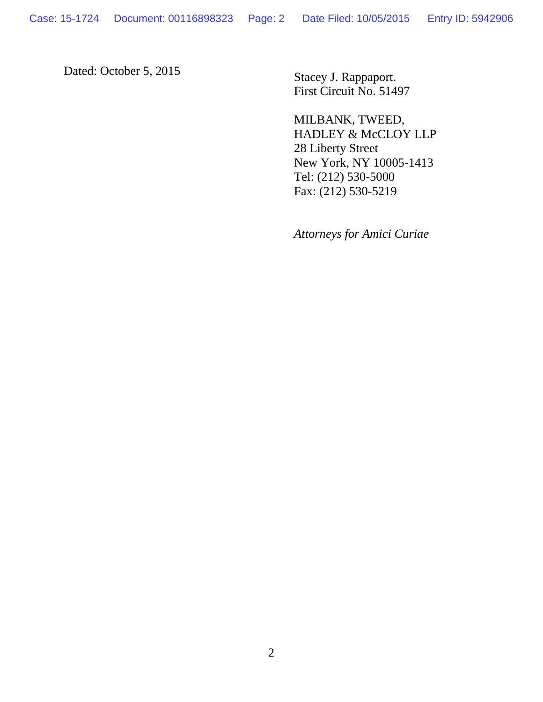Dated: October 5, 2015 Stacey J. Rappaport.

First Circuit No. 51497

MILBANK, TWEED, HADLEY & McCLOY LLP 28 Liberty Street New York, NY 10005-1413 Tel: (212) 530-5000 Fax: (212) 530-5219

*Attorneys for Amici Curiae*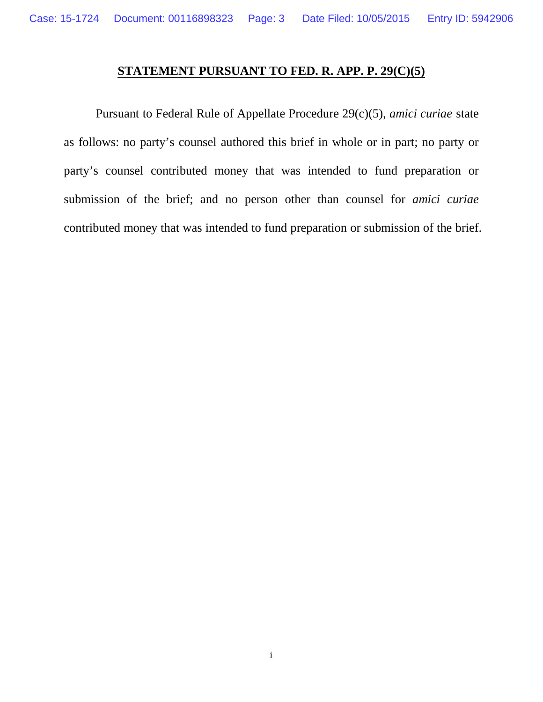## **STATEMENT PURSUANT TO FED. R. APP. P. 29(C)(5)**

Pursuant to Federal Rule of Appellate Procedure 29(c)(5), *amici curiae* state as follows: no party's counsel authored this brief in whole or in part; no party or party's counsel contributed money that was intended to fund preparation or submission of the brief; and no person other than counsel for *amici curiae* contributed money that was intended to fund preparation or submission of the brief.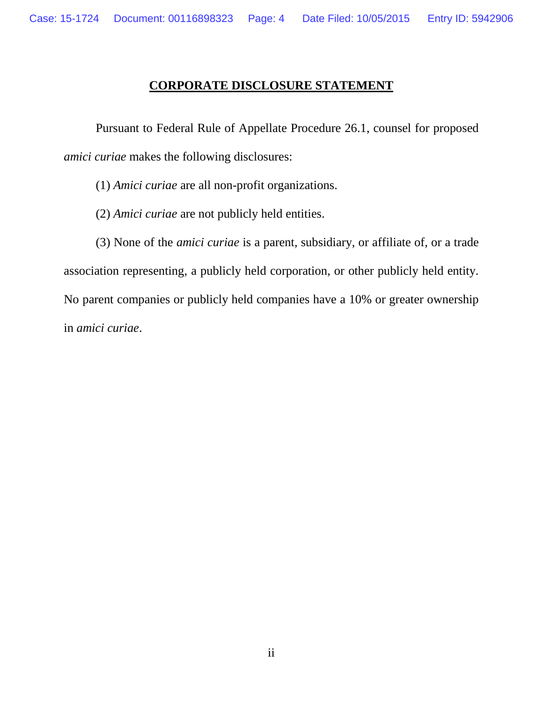### **CORPORATE DISCLOSURE STATEMENT**

Pursuant to Federal Rule of Appellate Procedure 26.1, counsel for proposed *amici curiae* makes the following disclosures:

- (1) *Amici curiae* are all non-profit organizations.
- (2) *Amici curiae* are not publicly held entities.

(3) None of the *amici curiae* is a parent, subsidiary, or affiliate of, or a trade association representing, a publicly held corporation, or other publicly held entity. No parent companies or publicly held companies have a 10% or greater ownership in *amici curiae*.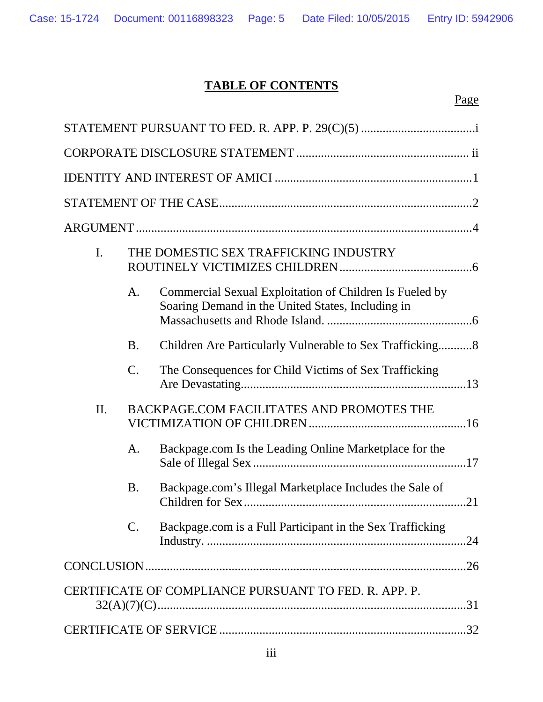# **TABLE OF CONTENTS**

Page

| $\mathbf{I}$ .                                        |                | THE DOMESTIC SEX TRAFFICKING INDUSTRY                                                                        |  |  |
|-------------------------------------------------------|----------------|--------------------------------------------------------------------------------------------------------------|--|--|
|                                                       | A.             | Commercial Sexual Exploitation of Children Is Fueled by<br>Soaring Demand in the United States, Including in |  |  |
|                                                       | <b>B.</b>      | Children Are Particularly Vulnerable to Sex Trafficking8                                                     |  |  |
|                                                       | C.             | The Consequences for Child Victims of Sex Trafficking                                                        |  |  |
| II.                                                   |                | BACKPAGE.COM FACILITATES AND PROMOTES THE                                                                    |  |  |
|                                                       | A.             | Backpage.com Is the Leading Online Marketplace for the                                                       |  |  |
|                                                       | <b>B.</b>      | Backpage.com's Illegal Marketplace Includes the Sale of                                                      |  |  |
|                                                       | $\mathbf{C}$ . | Backpage.com is a Full Participant in the Sex Trafficking                                                    |  |  |
|                                                       |                | .26                                                                                                          |  |  |
| CERTIFICATE OF COMPLIANCE PURSUANT TO FED. R. APP. P. |                |                                                                                                              |  |  |
|                                                       |                |                                                                                                              |  |  |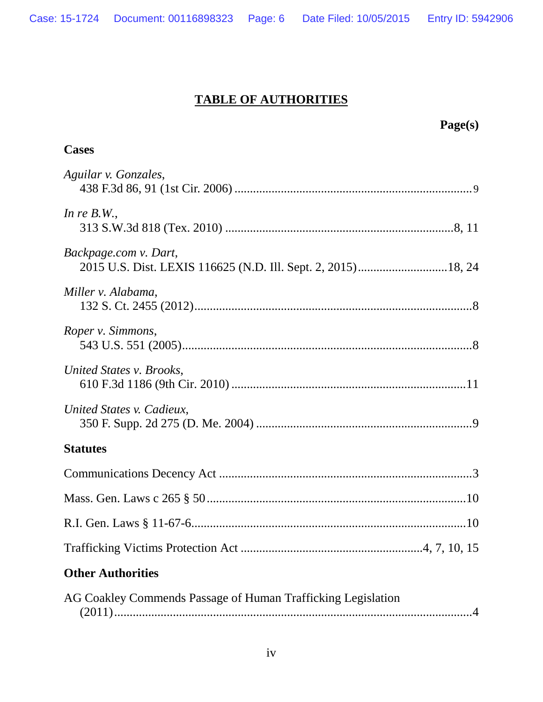# **TABLE OF AUTHORITIES**

| Page(s)                                                                                |
|----------------------------------------------------------------------------------------|
| <b>Cases</b>                                                                           |
| Aguilar v. Gonzales,                                                                   |
| In re $B.W.$ ,                                                                         |
| Backpage.com v. Dart,<br>2015 U.S. Dist. LEXIS 116625 (N.D. Ill. Sept. 2, 2015) 18, 24 |
| Miller v. Alabama,                                                                     |
| Roper v. Simmons,                                                                      |
| United States v. Brooks,                                                               |
| United States v. Cadieux,                                                              |
| <b>Statutes</b>                                                                        |
|                                                                                        |
|                                                                                        |
|                                                                                        |
|                                                                                        |
| <b>Other Authorities</b>                                                               |
| AG Coakley Commends Passage of Human Trafficking Legislation                           |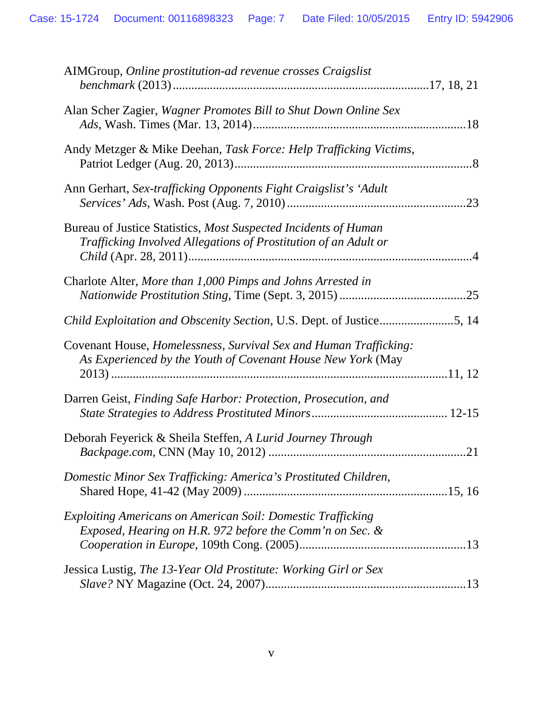| AIMGroup, Online prostitution-ad revenue crosses Craigslist                                                                                      |     |
|--------------------------------------------------------------------------------------------------------------------------------------------------|-----|
| Alan Scher Zagier, Wagner Promotes Bill to Shut Down Online Sex                                                                                  |     |
| Andy Metzger & Mike Deehan, Task Force: Help Trafficking Victims,                                                                                |     |
| Ann Gerhart, Sex-trafficking Opponents Fight Craigslist's 'Adult                                                                                 | .23 |
| Bureau of Justice Statistics, Most Suspected Incidents of Human<br>Trafficking Involved Allegations of Prostitution of an Adult or               |     |
| Charlote Alter, More than 1,000 Pimps and Johns Arrested in                                                                                      |     |
| Child Exploitation and Obscenity Section, U.S. Dept. of Justice5, 14                                                                             |     |
| Covenant House, <i>Homelessness</i> , <i>Survival Sex and Human Trafficking</i> :<br>As Experienced by the Youth of Covenant House New York (May |     |
| Darren Geist, Finding Safe Harbor: Protection, Prosecution, and                                                                                  |     |
| Deborah Feyerick & Sheila Steffen, A Lurid Journey Through                                                                                       | .21 |
| Domestic Minor Sex Trafficking: America's Prostituted Children,                                                                                  |     |
| Exploiting Americans on American Soil: Domestic Trafficking<br>Exposed, Hearing on H.R. 972 before the Comm'n on Sec. &                          |     |
| Jessica Lustig, The 13-Year Old Prostitute: Working Girl or Sex                                                                                  |     |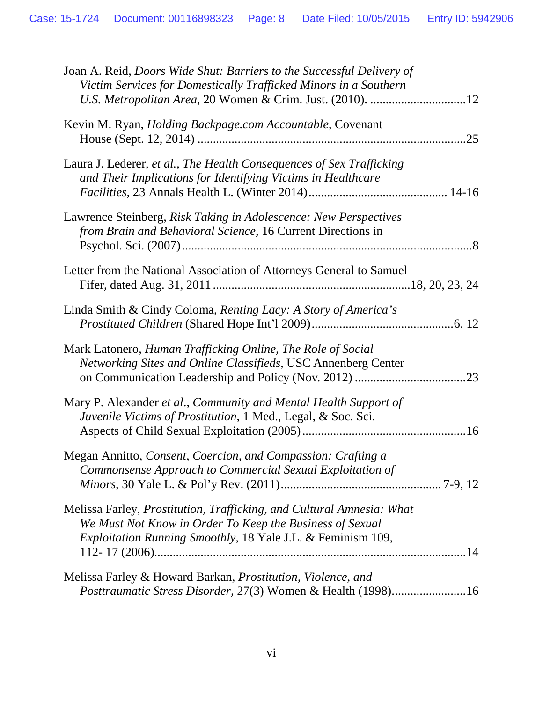| Joan A. Reid, <i>Doors Wide Shut: Barriers to the Successful Delivery of</i>                                                         |
|--------------------------------------------------------------------------------------------------------------------------------------|
| Victim Services for Domestically Trafficked Minors in a Southern<br>U.S. Metropolitan Area, 20 Women & Crim. Just. (2010). 12        |
|                                                                                                                                      |
| Kevin M. Ryan, Holding Backpage.com Accountable, Covenant<br>.25                                                                     |
|                                                                                                                                      |
| Laura J. Lederer, et al., The Health Consequences of Sex Trafficking<br>and Their Implications for Identifying Victims in Healthcare |
|                                                                                                                                      |
| Lawrence Steinberg, Risk Taking in Adolescence: New Perspectives                                                                     |
| from Brain and Behavioral Science, 16 Current Directions in                                                                          |
|                                                                                                                                      |
| Letter from the National Association of Attorneys General to Samuel                                                                  |
|                                                                                                                                      |
| Linda Smith & Cindy Coloma, Renting Lacy: A Story of America's                                                                       |
|                                                                                                                                      |
| Mark Latonero, Human Trafficking Online, The Role of Social                                                                          |
| Networking Sites and Online Classifieds, USC Annenberg Center                                                                        |
|                                                                                                                                      |
| Mary P. Alexander et al., Community and Mental Health Support of                                                                     |
| Juvenile Victims of Prostitution, 1 Med., Legal, & Soc. Sci.                                                                         |
|                                                                                                                                      |
| Megan Annitto, Consent, Coercion, and Compassion: Crafting a                                                                         |
| Commonsense Approach to Commercial Sexual Exploitation of                                                                            |
|                                                                                                                                      |
| Melissa Farley, Prostitution, Trafficking, and Cultural Amnesia: What<br>We Must Not Know in Order To Keep the Business of Sexual    |
| Exploitation Running Smoothly, 18 Yale J.L. & Feminism 109,                                                                          |
|                                                                                                                                      |
| Melissa Farley & Howard Barkan, <i>Prostitution</i> , <i>Violence</i> , and                                                          |
| Posttraumatic Stress Disorder, 27(3) Women & Health (1998)16                                                                         |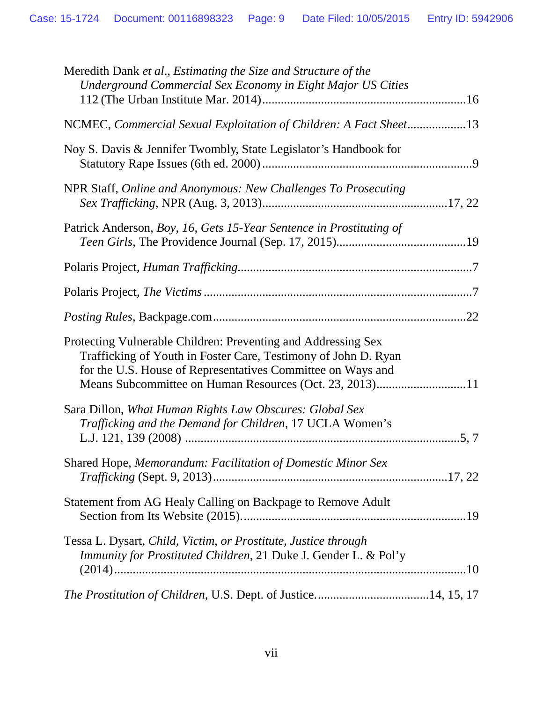| Meredith Dank et al., Estimating the Size and Structure of the<br>Underground Commercial Sex Economy in Eight Major US Cities                                                                                                                             |
|-----------------------------------------------------------------------------------------------------------------------------------------------------------------------------------------------------------------------------------------------------------|
| NCMEC, Commercial Sexual Exploitation of Children: A Fact Sheet13                                                                                                                                                                                         |
| Noy S. Davis & Jennifer Twombly, State Legislator's Handbook for                                                                                                                                                                                          |
| NPR Staff, Online and Anonymous: New Challenges To Prosecuting                                                                                                                                                                                            |
| Patrick Anderson, Boy, 16, Gets 15-Year Sentence in Prostituting of                                                                                                                                                                                       |
|                                                                                                                                                                                                                                                           |
|                                                                                                                                                                                                                                                           |
|                                                                                                                                                                                                                                                           |
| Protecting Vulnerable Children: Preventing and Addressing Sex<br>Trafficking of Youth in Foster Care, Testimony of John D. Ryan<br>for the U.S. House of Representatives Committee on Ways and<br>Means Subcommittee on Human Resources (Oct. 23, 2013)11 |
| Sara Dillon, What Human Rights Law Obscures: Global Sex<br>Trafficking and the Demand for Children, 17 UCLA Women's                                                                                                                                       |
| Shared Hope, Memorandum: Facilitation of Domestic Minor Sex                                                                                                                                                                                               |
| Statement from AG Healy Calling on Backpage to Remove Adult                                                                                                                                                                                               |
| Tessa L. Dysart, Child, Victim, or Prostitute, Justice through<br>Immunity for Prostituted Children, 21 Duke J. Gender L. & Pol'y                                                                                                                         |
| The Prostitution of Children, U.S. Dept. of Justice14, 15, 17                                                                                                                                                                                             |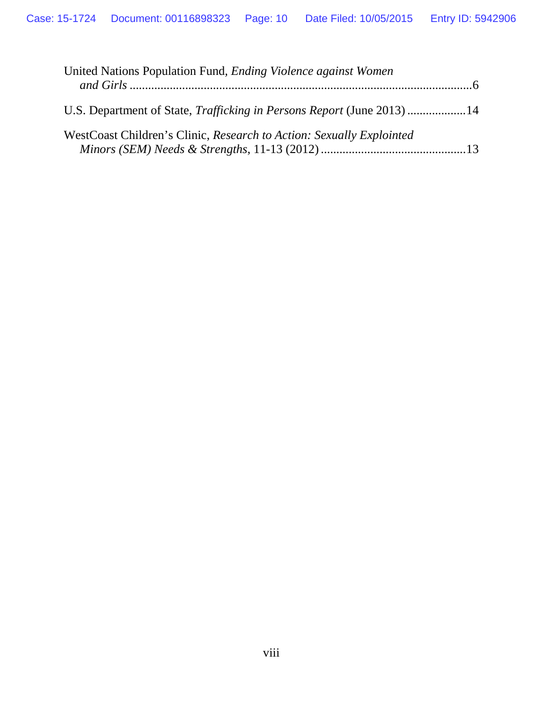| United Nations Population Fund, <i>Ending Violence against Women</i>          |
|-------------------------------------------------------------------------------|
| U.S. Department of State, <i>Trafficking in Persons Report</i> (June 2013) 14 |
| WestCoast Children's Clinic, Research to Action: Sexually Explointed          |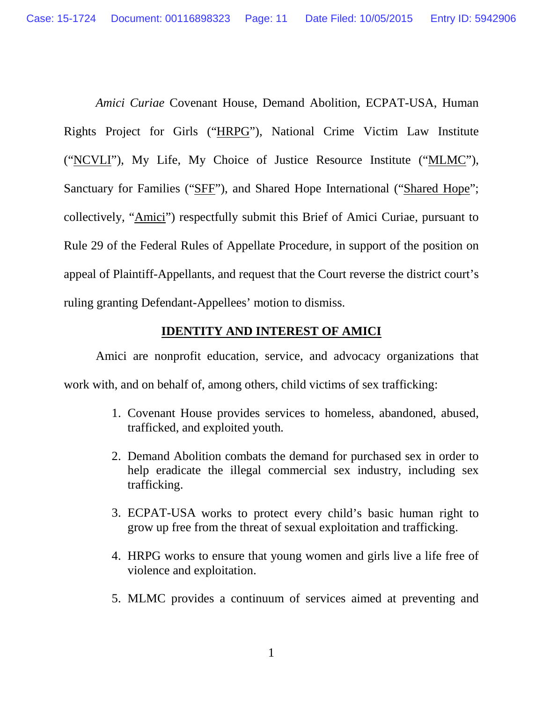*Amici Curiae* Covenant House, Demand Abolition, ECPAT-USA, Human Rights Project for Girls ("HRPG"), National Crime Victim Law Institute ("NCVLI"), My Life, My Choice of Justice Resource Institute ("MLMC"), Sanctuary for Families ("SFF"), and Shared Hope International ("Shared Hope"; collectively*,* "Amici") respectfully submit this Brief of Amici Curiae, pursuant to Rule 29 of the Federal Rules of Appellate Procedure, in support of the position on appeal of Plaintiff-Appellants*,* and request that the Court reverse the district court's ruling granting Defendant-Appellees' motion to dismiss.

### **IDENTITY AND INTEREST OF AMICI**

Amici are nonprofit education, service, and advocacy organizations that work with, and on behalf of, among others, child victims of sex trafficking:

- 1. Covenant House provides services to homeless, abandoned, abused, trafficked, and exploited youth*.*
- 2. Demand Abolition combats the demand for purchased sex in order to help eradicate the illegal commercial sex industry, including sex trafficking.
- 3. ECPAT-USA works to protect every child's basic human right to grow up free from the threat of sexual exploitation and trafficking.
- 4. HRPG works to ensure that young women and girls live a life free of violence and exploitation.
- 5. MLMC provides a continuum of services aimed at preventing and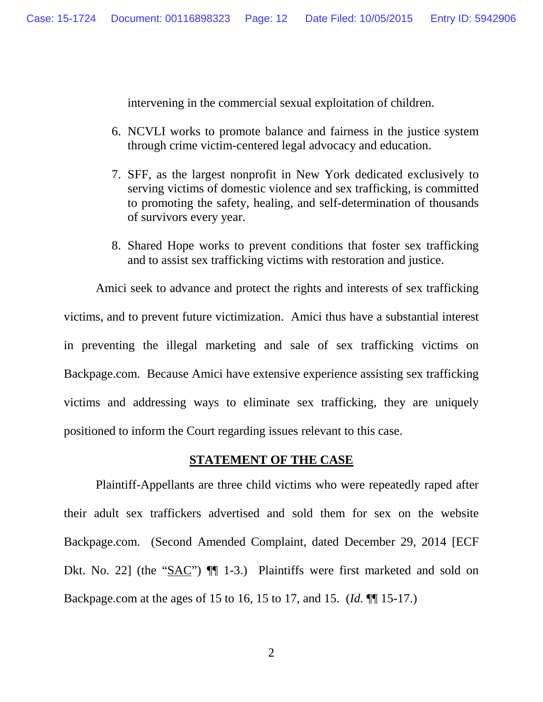intervening in the commercial sexual exploitation of children.

- 6. NCVLI works to promote balance and fairness in the justice system through crime victim-centered legal advocacy and education.
- 7. SFF, as the largest nonprofit in New York dedicated exclusively to serving victims of domestic violence and sex trafficking, is committed to promoting the safety, healing, and self-determination of thousands of survivors every year.
- 8. Shared Hope works to prevent conditions that foster sex trafficking and to assist sex trafficking victims with restoration and justice.

Amici seek to advance and protect the rights and interests of sex trafficking victims, and to prevent future victimization. Amici thus have a substantial interest in preventing the illegal marketing and sale of sex trafficking victims on Backpage.com. Because Amici have extensive experience assisting sex trafficking victims and addressing ways to eliminate sex trafficking, they are uniquely positioned to inform the Court regarding issues relevant to this case.

#### **STATEMENT OF THE CASE**

Plaintiff-Appellants are three child victims who were repeatedly raped after their adult sex traffickers advertised and sold them for sex on the website Backpage.com. (Second Amended Complaint, dated December 29, 2014 [ECF Dkt. No. 22] (the "SAC")  $\P$  1-3.) Plaintiffs were first marketed and sold on Backpage.com at the ages of 15 to 16, 15 to 17, and 15. (*Id.* ¶¶ 15-17.)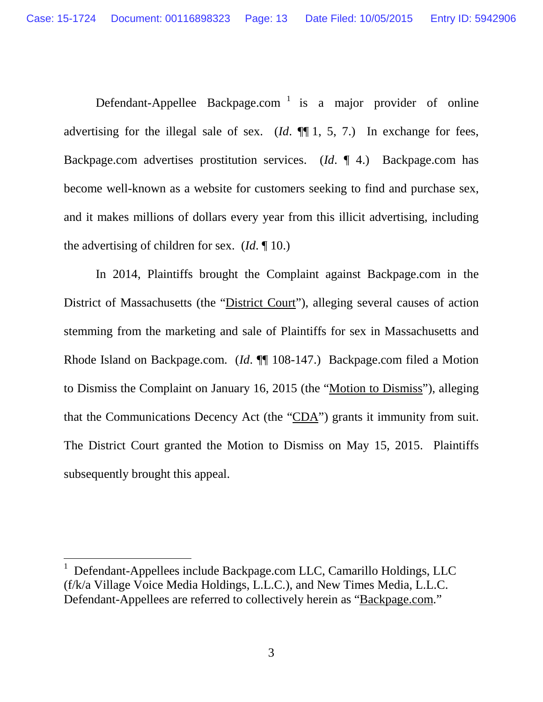Defendant-Appellee Backpage.com<sup>[1](#page-17-2)</sup> is a major provider of online advertising for the illegal sale of sex. (*Id*. ¶¶ 1, 5, 7.) In exchange for fees, Backpage.com advertises prostitution services. (*Id*. ¶ 4.) Backpage.com has become well-known as a website for customers seeking to find and purchase sex, and it makes millions of dollars every year from this illicit advertising, including the advertising of children for sex. (*Id*. ¶ 10.)

<span id="page-17-1"></span>In 2014, Plaintiffs brought the Complaint against Backpage.com in the District of Massachusetts (the "District Court"), alleging several causes of action stemming from the marketing and sale of Plaintiffs for sex in Massachusetts and Rhode Island on Backpage.com. (*Id*. ¶¶ 108-147.) Backpage.com filed a Motion to Dismiss the Complaint on January 16, 2015 (the "Motion to Dismiss"), alleging that the Communications Decency Act (the "CDA") grants it immunity from suit. The District Court granted the Motion to Dismiss on May 15, 2015. Plaintiffs subsequently brought this appeal.

<span id="page-17-2"></span><span id="page-17-0"></span><sup>1</sup> Defendant-Appellees include Backpage.com LLC, Camarillo Holdings, LLC (f/k/a Village Voice Media Holdings, L.L.C.), and New Times Media, L.L.C. Defendant-Appellees are referred to collectively herein as "Backpage.com."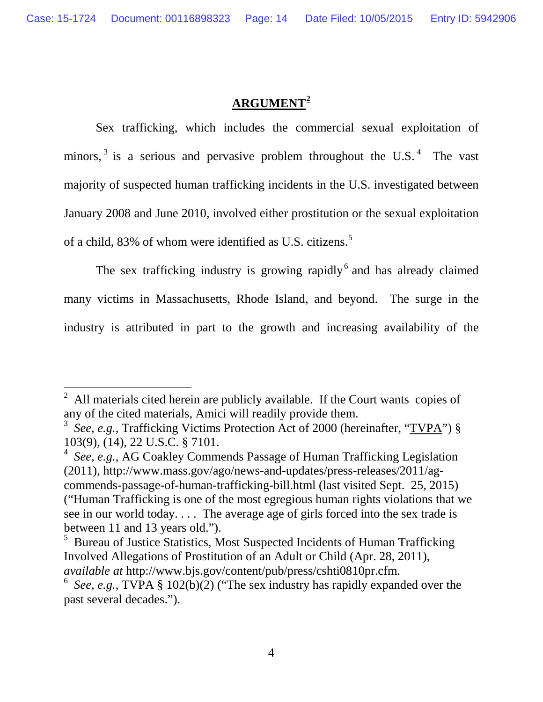## **ARGUMENT[2](#page-18-3)**

Sex trafficking, which includes the commercial sexual exploitation of minors,  $3$  is a serious and pervasive problem throughout the U.S.  $4$  The vast majority of suspected human trafficking incidents in the U.S. investigated between January 2008 and June 2010, involved either prostitution or the sexual exploitation of a child, 83% of whom were identified as U.S. citizens.<sup>[5](#page-18-6)</sup>

The sex trafficking industry is growing rapidly<sup>[6](#page-18-7)</sup> and has already claimed many victims in Massachusetts, Rhode Island, and beyond. The surge in the industry is attributed in part to the growth and increasing availability of the

<span id="page-18-3"></span><sup>2</sup> All materials cited herein are publicly available. If the Court wants copies of any of the cited materials, Amici will readily provide them.

<span id="page-18-4"></span><span id="page-18-0"></span><sup>&</sup>lt;sup>3</sup> *See, e.g.*, Trafficking Victims Protection Act of 2000 (hereinafter, "TVPA") § 103(9), (14), 22 U.S.C. § 7101.

<span id="page-18-5"></span><span id="page-18-1"></span><sup>4</sup> *See, e.g.*, AG Coakley Commends Passage of Human Trafficking Legislation (2011), http://www.mass.gov/ago/news-and-updates/press-releases/2011/agcommends-passage-of-human-trafficking-bill.html (last visited Sept. 25, 2015) ("Human Trafficking is one of the most egregious human rights violations that we see in our world today. . . . The average age of girls forced into the sex trade is between 11 and 13 years old.").

<span id="page-18-6"></span><span id="page-18-2"></span><sup>&</sup>lt;sup>5</sup> Bureau of Justice Statistics, Most Suspected Incidents of Human Trafficking Involved Allegations of Prostitution of an Adult or Child (Apr. 28, 2011), *available at* http://www.bjs.gov/content/pub/press/cshti0810pr.cfm.

<span id="page-18-7"></span><sup>6</sup> *See, e.g.*, TVPA § 102(b)(2) ("The sex industry has rapidly expanded over the past several decades.").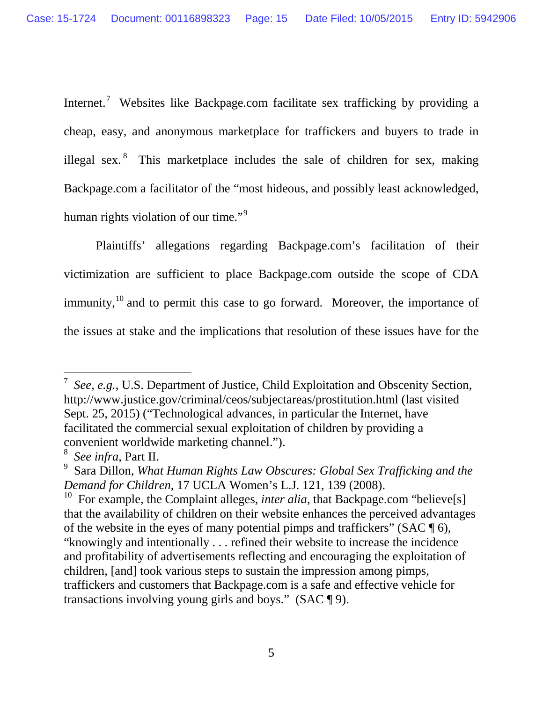Internet.<sup>[7](#page-19-0)</sup> Websites like Backpage.com facilitate sex trafficking by providing a cheap, easy, and anonymous marketplace for traffickers and buyers to trade in illegal sex. <sup>[8](#page-19-1)</sup> This marketplace includes the sale of children for sex, making Backpage.com a facilitator of the "most hideous, and possibly least acknowledged, human rights violation of our time."<sup>[9](#page-19-2)</sup>

<span id="page-19-4"></span>Plaintiffs' allegations regarding Backpage.com's facilitation of their victimization are sufficient to place Backpage.com outside the scope of CDA immunity,  $10$  and to permit this case to go forward. Moreover, the importance of the issues at stake and the implications that resolution of these issues have for the

<span id="page-19-0"></span><sup>7</sup> *See, e.g.*, U.S. Department of Justice, Child Exploitation and Obscenity Section, http://www.justice.gov/criminal/ceos/subjectareas/prostitution.html (last visited Sept. 25, 2015) ("Technological advances, in particular the Internet, have facilitated the commercial sexual exploitation of children by providing a

<span id="page-19-2"></span><span id="page-19-1"></span>

convenient worldwide marketing channel.").<br>
<sup>8</sup> *See infra*, Part [II.](#page-30-3)<br>
<sup>9</sup> Sara Dillon, *What Human Rights Law Obscures: Global Sex Trafficking and the Demand for Children, 17 UCLA Women's L.J. 121, 139 (2008).* 

<span id="page-19-3"></span><sup>&</sup>lt;sup>10</sup> For example, the Complaint alleges, *inter alia*, that Backpage.com "believe<sup>[s]</sup> that the availability of children on their website enhances the perceived advantages of the website in the eyes of many potential pimps and traffickers" (SAC  $\P$  6), "knowingly and intentionally . . . refined their website to increase the incidence and profitability of advertisements reflecting and encouraging the exploitation of children, [and] took various steps to sustain the impression among pimps, traffickers and customers that Backpage.com is a safe and effective vehicle for transactions involving young girls and boys." (SAC ¶ 9).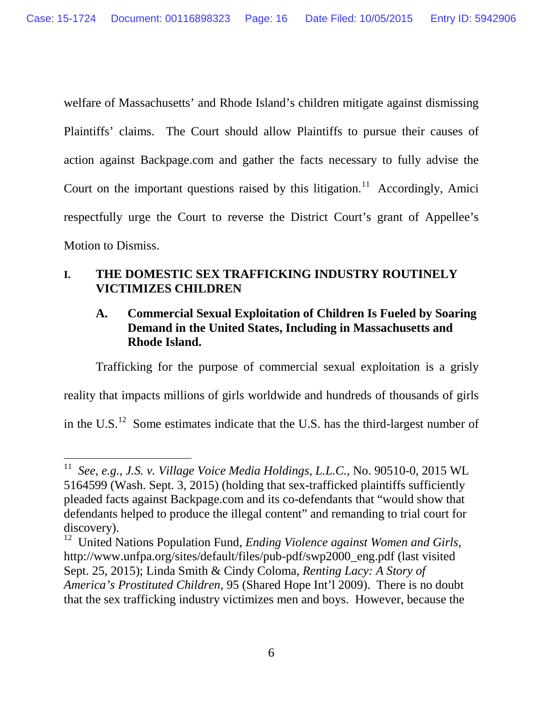welfare of Massachusetts' and Rhode Island's children mitigate against dismissing Plaintiffs' claims. The Court should allow Plaintiffs to pursue their causes of action against Backpage.com and gather the facts necessary to fully advise the Court on the important questions raised by this litigation.<sup>[11](#page-20-2)</sup> Accordingly, Amici respectfully urge the Court to reverse the District Court's grant of Appellee's Motion to Dismiss.

## **I. THE DOMESTIC SEX TRAFFICKING INDUSTRY ROUTINELY VICTIMIZES CHILDREN**

## **A. Commercial Sexual Exploitation of Children Is Fueled by Soaring Demand in the United States, Including in Massachusetts and Rhode Island.**

Trafficking for the purpose of commercial sexual exploitation is a grisly reality that impacts millions of girls worldwide and hundreds of thousands of girls in the U.S.<sup>12</sup> Some estimates indicate that the U.S. has the third-largest number of

<span id="page-20-4"></span><sup>11</sup> *See, e.g.*, *J.S. v. Village Voice Media Holdings, L.L.C.*, No. 90510-0, 2015 WL 5164599 (Wash. Sept. 3, 2015) (holding that sex-trafficked plaintiffs sufficiently pleaded facts against Backpage.com and its co-defendants that "would show that defendants helped to produce the illegal content" and remanding to trial court for discovery).

<span id="page-20-3"></span><span id="page-20-2"></span><span id="page-20-1"></span><span id="page-20-0"></span><sup>12</sup> United Nations Population Fund*, Ending Violence against Women and Girls*, http://www.unfpa.org/sites/default/files/pub-pdf/swp2000\_eng.pdf (last visited Sept. 25, 2015); Linda Smith & Cindy Coloma, *Renting Lacy: A Story of America's Prostituted Children,* 95 (Shared Hope Int'l 2009). There is no doubt that the sex trafficking industry victimizes men and boys. However, because the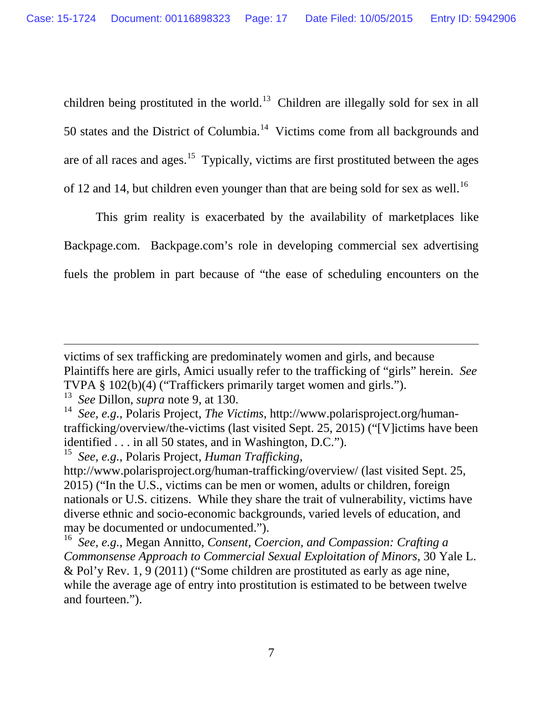children being prostituted in the world.<sup>[13](#page-21-3)</sup> Children are illegally sold for sex in all 50 states and the District of Columbia.<sup>14</sup> Victims come from all backgrounds and are of all races and ages.<sup>[15](#page-21-5)</sup> Typically, victims are first prostituted between the ages of 12 and 14, but children even younger than that are being sold for sex as well.<sup>[16](#page-21-6)</sup>

<span id="page-21-7"></span>This grim reality is exacerbated by the availability of marketplaces like Backpage.com. Backpage.com's role in developing commercial sex advertising fuels the problem in part because of "the ease of scheduling encounters on the

victims of sex trafficking are predominately women and girls, and because Plaintiffs here are girls, Amici usually refer to the trafficking of "girls" herein. *See*  TVPA § 102(b)(4) ("Traffickers primarily target women and girls.").

<span id="page-21-3"></span><sup>13</sup> *See* Dillon, *supra* note [9,](#page-19-4) at 130.

<span id="page-21-4"></span><span id="page-21-2"></span><sup>14</sup> *See, e.g.*, Polaris Project, *The Victims*, http://www.polarisproject.org/humantrafficking/overview/the-victims (last visited Sept. 25, 2015) ("[V]ictims have been identified . . . in all 50 states, and in Washington, D.C.").<br><sup>15</sup> See e.g. Polaris Project Human Trafficking

<span id="page-21-5"></span><span id="page-21-1"></span><sup>15</sup> *See, e.g.*, Polaris Project, *Human Trafficking*,

http://www.polarisproject.org/human-trafficking/overview/ (last visited Sept. 25, 2015) ("In the U.S., victims can be men or women, adults or children, foreign nationals or U.S. citizens. While they share the trait of vulnerability, victims have diverse ethnic and socio-economic backgrounds, varied levels of education, and may be documented or undocumented.").

<span id="page-21-6"></span><span id="page-21-0"></span><sup>16</sup> *See, e.g.*, Megan Annitto, *Consent, Coercion, and Compassion: Crafting a Commonsense Approach to Commercial Sexual Exploitation of Minors,* 30 Yale L. & Pol'y Rev. 1, 9 (2011) ("Some children are prostituted as early as age nine, while the average age of entry into prostitution is estimated to be between twelve and fourteen.").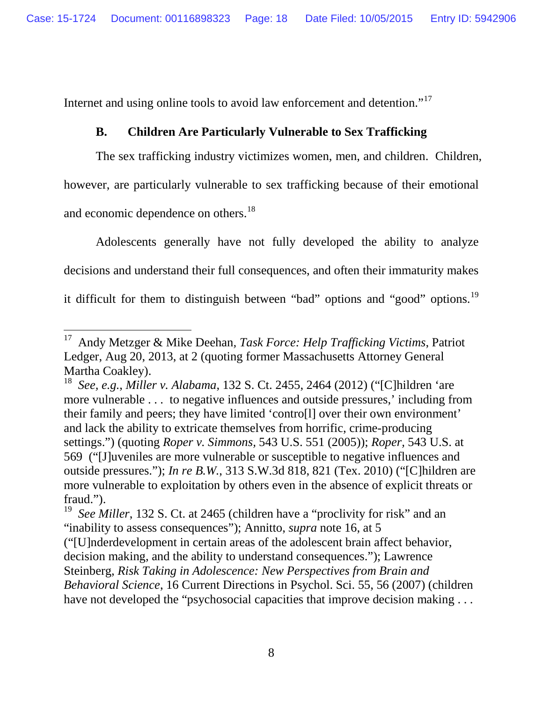Internet and using online tools to avoid law enforcement and detention."<sup>[17](#page-22-4)</sup>

## **B. Children Are Particularly Vulnerable to Sex Trafficking**

The sex trafficking industry victimizes women, men, and children. Children, however, are particularly vulnerable to sex trafficking because of their emotional and economic dependence on others.<sup>[18](#page-22-5)</sup>

Adolescents generally have not fully developed the ability to analyze decisions and understand their full consequences, and often their immaturity makes it difficult for them to distinguish between "bad" options and "good" options.<sup>[19](#page-22-6)</sup>

<sup>17</sup> Andy Metzger & Mike Deehan*, Task Force: Help Trafficking Victims*, Patriot Ledger, Aug 20, 2013, at 2 (quoting former Massachusetts Attorney General Martha Coakley). <sup>18</sup> *See, e.g.*, *Miller v. Alabama*, 132 S. Ct. 2455, 2464 (2012) ("[C]hildren 'are

<span id="page-22-5"></span><span id="page-22-4"></span><span id="page-22-2"></span><span id="page-22-1"></span>more vulnerable . . . to negative influences and outside pressures,' including from their family and peers; they have limited 'contro[l] over their own environment' and lack the ability to extricate themselves from horrific, crime-producing settings.") (quoting *Roper v. Simmons,* 543 U.S. 551 (2005)); *Roper,* 543 U.S. at 569 ("[J]uveniles are more vulnerable or susceptible to negative influences and outside pressures."); *In re B.W.*, 313 S.W.3d 818, 821 (Tex. 2010) ("[C]hildren are more vulnerable to exploitation by others even in the absence of explicit threats or fraud.").

<span id="page-22-0"></span><sup>&</sup>lt;sup>19</sup> *See Miller*, 132 S. Ct. at 2465 (children have a "proclivity for risk" and an "inability to assess consequences"); Annitto, *supra* note [16,](#page-21-7) at 5

<span id="page-22-6"></span><span id="page-22-3"></span><sup>(&</sup>quot;[U]nderdevelopment in certain areas of the adolescent brain affect behavior, decision making, and the ability to understand consequences."); Lawrence Steinberg, *Risk Taking in Adolescence: New Perspectives from Brain and Behavioral Science*, 16 Current Directions in Psychol. Sci. 55, 56 (2007) (children have not developed the "psychosocial capacities that improve decision making . . .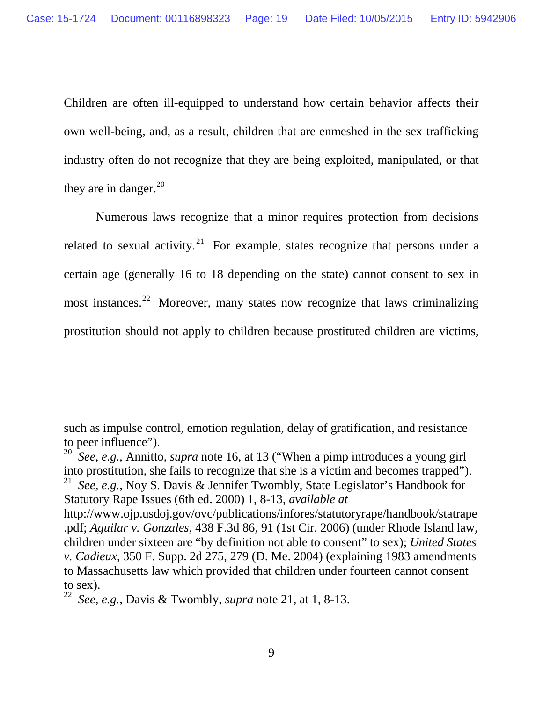Children are often ill-equipped to understand how certain behavior affects their own well-being, and, as a result, children that are enmeshed in the sex trafficking industry often do not recognize that they are being exploited, manipulated, or that they are in danger. $^{20}$  $^{20}$  $^{20}$ 

<span id="page-23-2"></span>Numerous laws recognize that a minor requires protection from decisions related to sexual activity.<sup>[21](#page-23-4)</sup> For example, states recognize that persons under a certain age (generally 16 to 18 depending on the state) cannot consent to sex in most instances.<sup>22</sup> Moreover, many states now recognize that laws criminalizing prostitution should not apply to children because prostituted children are victims,

such as impulse control, emotion regulation, delay of gratification, and resistance to peer influence").

<span id="page-23-3"></span><span id="page-23-1"></span><sup>20</sup> *See, e.g.*, Annitto, *supra* note [16,](#page-21-7) at 13 ("When a pimp introduces a young girl into prostitution, she fails to recognize that she is a victim and becomes trapped"). <sup>21</sup> *See, e.g.*, Noy S. Davis & Jennifer Twombly, State Legislator's Handbook for Statutory Rape Issues (6th ed. 2000) 1, 8-13, *available at* 

<span id="page-23-4"></span><span id="page-23-0"></span>http://www.ojp.usdoj.gov/ovc/publications/infores/statutoryrape/handbook/statrape .pdf; *Aguilar v. Gonzales*, 438 F.3d 86, 91 (1st Cir. 2006) (under Rhode Island law, children under sixteen are "by definition not able to consent" to sex); *United States v. Cadieux*, 350 F. Supp. 2d 275, 279 (D. Me. 2004) (explaining 1983 amendments to Massachusetts law which provided that children under fourteen cannot consent to sex).

<span id="page-23-5"></span><sup>22</sup> *See, e.g.*, Davis & Twombly, *supra* note [21,](#page-23-2) at 1, 8-13.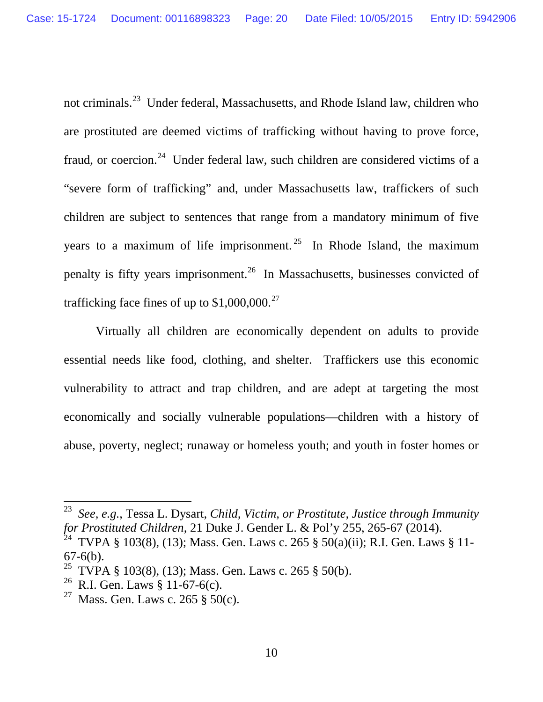not criminals.[23](#page-24-2) Under federal, Massachusetts, and Rhode Island law, children who are prostituted are deemed victims of trafficking without having to prove force, fraud, or coercion.<sup>24</sup> Under federal law, such children are considered victims of a "severe form of trafficking" and, under Massachusetts law, traffickers of such children are subject to sentences that range from a mandatory minimum of five years to a maximum of life imprisonment.<sup>[25](#page-24-4)</sup> In Rhode Island, the maximum penalty is fifty years imprisonment.<sup>[26](#page-24-5)</sup> In Massachusetts, businesses convicted of trafficking face fines of up to  $$1,000,000.<sup>27</sup>$  $$1,000,000.<sup>27</sup>$  $$1,000,000.<sup>27</sup>$ 

Virtually all children are economically dependent on adults to provide essential needs like food, clothing, and shelter. Traffickers use this economic vulnerability to attract and trap children, and are adept at targeting the most economically and socially vulnerable populations—children with a history of abuse, poverty, neglect; runaway or homeless youth; and youth in foster homes or

<span id="page-24-2"></span><span id="page-24-1"></span><sup>23</sup> *See, e.g.*, Tessa L. Dysart, *Child, Victim, or Prostitute, Justice through Immunity for Prostituted Children*, 21 Duke J. Gender L. & Pol'y 255, 265-67 (2014).

<span id="page-24-3"></span><sup>&</sup>lt;sup>24</sup> TVPA § 103(8), (13); Mass. Gen. Laws c. 265 § 50(a)(ii); R.I. Gen. Laws § 11- $67-6(b)$ .

<span id="page-24-4"></span><sup>&</sup>lt;sup>25</sup> TVPA § 103(8), (13); Mass. Gen. Laws c. 265 § 50(b).<br><sup>26</sup> R.I. Gen. Laws § 11-67-6(c).

<span id="page-24-5"></span>

<span id="page-24-6"></span><span id="page-24-0"></span><sup>&</sup>lt;sup>27</sup> Mass. Gen. Laws c. 265 § 50(c).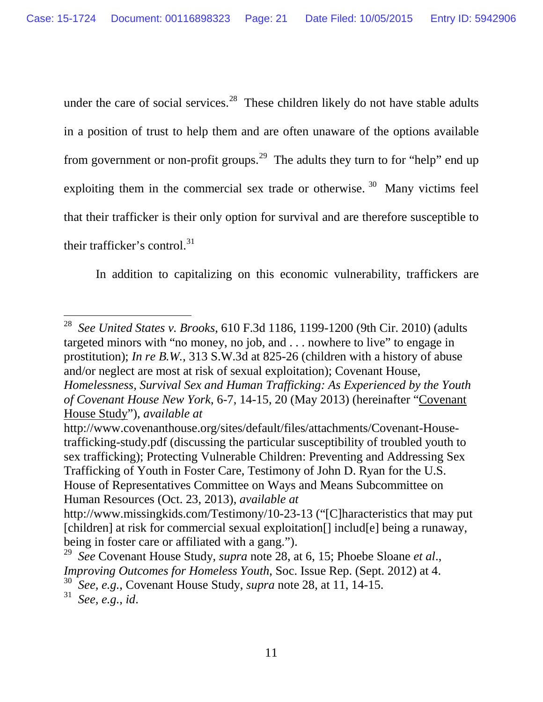<span id="page-25-2"></span>under the care of social services.<sup>28</sup> These children likely do not have stable adults in a position of trust to help them and are often unaware of the options available from government or non-profit groups.<sup>[29](#page-25-4)</sup> The adults they turn to for "help" end up exploiting them in the commercial sex trade or otherwise.  $30$  Many victims feel that their trafficker is their only option for survival and are therefore susceptible to their trafficker's control. $31$ 

In addition to capitalizing on this economic vulnerability, traffickers are

<span id="page-25-3"></span><span id="page-25-0"></span><sup>28</sup> *See United States v. Brooks*, 610 F.3d 1186, 1199-1200 (9th Cir. 2010) (adults targeted minors with "no money, no job, and . . . nowhere to live" to engage in prostitution); *In re B.W.*, 313 S.W.3d at 825-26 (children with a history of abuse and/or neglect are most at risk of sexual exploitation); Covenant House, *Homelessness, Survival Sex and Human Trafficking: As Experienced by the Youth of Covenant House New York*, 6-7, 14-15, 20 (May 2013) (hereinafter "Covenant House Study"), *available at* 

<span id="page-25-1"></span>http://www.covenanthouse.org/sites/default/files/attachments/Covenant-Housetrafficking-study.pdf (discussing the particular susceptibility of troubled youth to sex trafficking); Protecting Vulnerable Children: Preventing and Addressing Sex Trafficking of Youth in Foster Care, Testimony of John D. Ryan for the U.S. House of Representatives Committee on Ways and Means Subcommittee on Human Resources (Oct. 23, 2013), *available at* 

http://www.missingkids.com/Testimony/10-23-13 ("[C]haracteristics that may put [children] at risk for commercial sexual exploitation[] includ[e] being a runaway, being in foster care or affiliated with a gang.").

<span id="page-25-4"></span><sup>29</sup> *See* Covenant House Study, *supra* note [28,](#page-25-2) at 6, 15; Phoebe Sloane *et al*., *Improving Outcomes for Homeless Youth*, Soc. Issue Rep. (Sept. 2012) at 4.

<span id="page-25-6"></span><span id="page-25-5"></span><sup>30</sup> *See, e.g.*, Covenant House Study, *supra* note [28,](#page-25-2) at 11, 14-15.

<sup>31</sup> *See, e.g.*, *id*.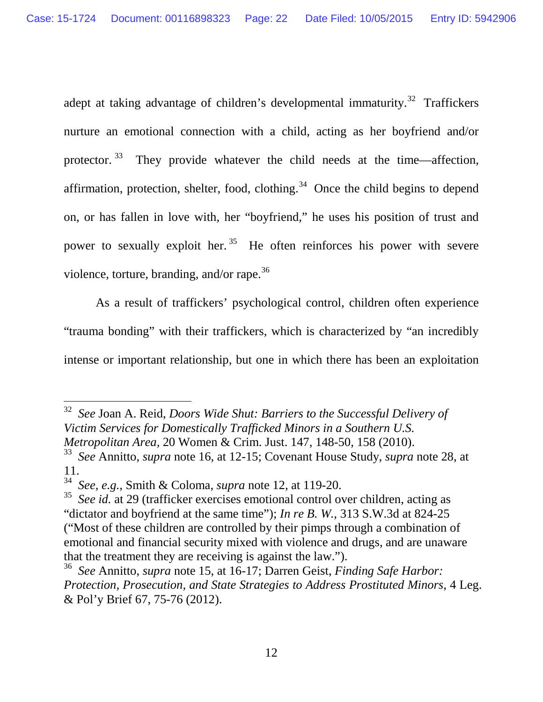adept at taking advantage of children's developmental immaturity.<sup>32</sup> Traffickers nurture an emotional connection with a child, acting as her boyfriend and/or protector. [33](#page-26-4) They provide whatever the child needs at the time—affection, affirmation, protection, shelter, food, clothing.<sup>[34](#page-26-5)</sup> Once the child begins to depend on, or has fallen in love with, her "boyfriend," he uses his position of trust and power to sexually exploit her.  $35$  He often reinforces his power with severe violence, torture, branding, and/or rape.<sup>[36](#page-26-7)</sup>

<span id="page-26-8"></span>As a result of traffickers' psychological control, children often experience "trauma bonding" with their traffickers, which is characterized by "an incredibly intense or important relationship, but one in which there has been an exploitation

<span id="page-26-3"></span><span id="page-26-2"></span><sup>32</sup> *See* Joan A. Reid, *Doors Wide Shut: Barriers to the Successful Delivery of Victim Services for Domestically Trafficked Minors in a Southern U.S. Metropolitan Area,* 20 Women & Crim. Just. 147, 148-50, 158 (2010).

<span id="page-26-4"></span><sup>33</sup> *See* Annitto, *supra* note [16,](#page-21-7) at 12-15; Covenant House Study, *supra* note [28,](#page-25-2) at 11.

<span id="page-26-5"></span><sup>34</sup> *See, e.g.*, Smith & Coloma, *supra* note [12,](#page-20-4) at 119-20.

<span id="page-26-6"></span><span id="page-26-0"></span><sup>35</sup> *See id.* at 29 (trafficker exercises emotional control over children, acting as "dictator and boyfriend at the same time"); *In re B. W.,* 313 S.W.3d at 824-25 ("Most of these children are controlled by their pimps through a combination of emotional and financial security mixed with violence and drugs, and are unaware that the treatment they are receiving is against the law.").

<span id="page-26-7"></span><span id="page-26-1"></span><sup>36</sup> *See* Annitto, *supra* note 15, at 16-17; Darren Geist, *Finding Safe Harbor: Protection, Prosecution, and State Strategies to Address Prostituted Minors*, 4 Leg. & Pol'y Brief 67, 75-76 (2012).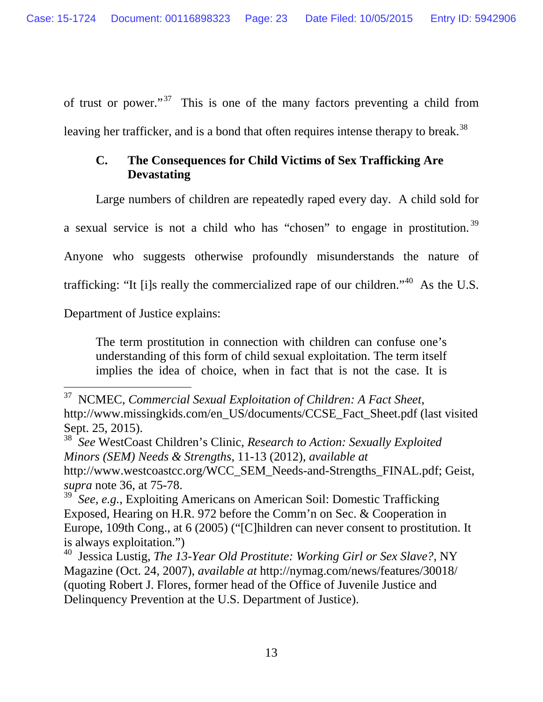of trust or power."<sup>[37](#page-27-3)</sup> This is one of the many factors preventing a child from leaving her trafficker, and is a bond that often requires intense therapy to break.<sup>38</sup>

## **C. The Consequences for Child Victims of Sex Trafficking Are Devastating**

<span id="page-27-7"></span>Large numbers of children are repeatedly raped every day. A child sold for

a sexual service is not a child who has "chosen" to engage in prostitution. [39](#page-27-5)

Anyone who suggests otherwise profoundly misunderstands the nature of

trafficking: "It [i]s really the commercialized rape of our children."[40](#page-27-6) As the U.S.

Department of Justice explains:

 $\overline{a}$ 

The term prostitution in connection with children can confuse one's understanding of this form of child sexual exploitation. The term itself implies the idea of choice, when in fact that is not the case. It is

<span id="page-27-3"></span><span id="page-27-1"></span><sup>37</sup> NCMEC, *Commercial Sexual Exploitation of Children: A Fact Sheet*, http://www.missingkids.com/en\_US/documents/CCSE\_Fact\_Sheet.pdf (last visited Sept. 25, 2015).

<span id="page-27-4"></span><span id="page-27-2"></span><sup>38</sup> *See* WestCoast Children's Clinic, *Research to Action: Sexually Exploited Minors (SEM) Needs & Strengths*, 11-13 (2012), *available at*  http://www.westcoastcc.org/WCC\_SEM\_Needs-and-Strengths\_FINAL.pdf; Geist, *supra* note [36,](#page-26-8) at 75-78.

<span id="page-27-5"></span><sup>&</sup>lt;sup>39</sup> See, e.g., Exploiting Americans on American Soil: Domestic Trafficking Exposed, Hearing on H.R. 972 before the Comm'n on Sec. & Cooperation in Europe, 109th Cong., at 6 (2005) ("[C]hildren can never consent to prostitution. It is always exploitation.")

<span id="page-27-6"></span><span id="page-27-0"></span><sup>40</sup> Jessica Lustig, *The 13-Year Old Prostitute: Working Girl or Sex Slave?,* NY Magazine (Oct. 24, 2007), *available at* http://nymag.com/news/features/30018/ (quoting Robert J. Flores, former head of the Office of Juvenile Justice and Delinquency Prevention at the U.S. Department of Justice).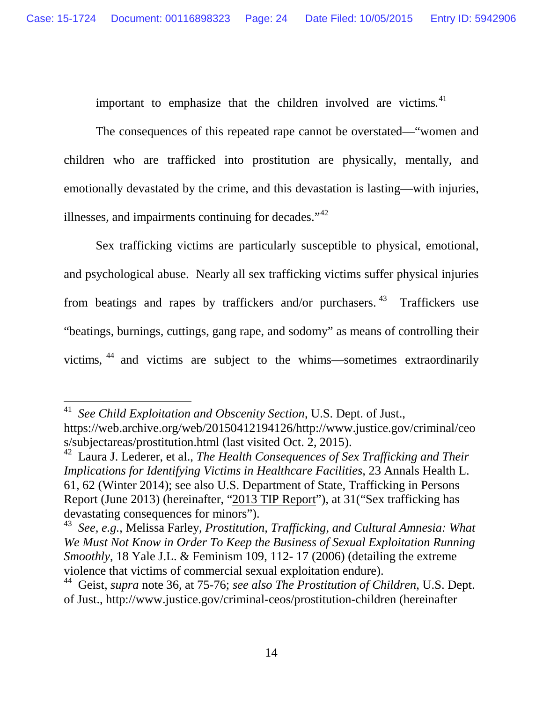<span id="page-28-5"></span>important to emphasize that the children involved are victims.<sup>[41](#page-28-2)</sup>

The consequences of this repeated rape cannot be overstated—"women and children who are trafficked into prostitution are physically, mentally, and emotionally devastated by the crime, and this devastation is lasting—with injuries, illnesses, and impairments continuing for decades."<sup>[42](#page-28-3)</sup>

Sex trafficking victims are particularly susceptible to physical, emotional, and psychological abuse. Nearly all sex trafficking victims suffer physical injuries from beatings and rapes by traffickers and/or purchasers.  $43$  Traffickers use "beatings, burnings, cuttings, gang rape, and sodomy" as means of controlling their victims, [44](#page-29-1) and victims are subject to the whims—sometimes extraordinarily

<span id="page-28-6"></span><sup>41</sup> *See Child Exploitation and Obscenity Section*, U.S. Dept. of Just., https://web.archive.org/web/20150412194126/http://www.justice.gov/criminal/ceo s/subjectareas/prostitution.html (last visited Oct. 2, 2015).

<span id="page-28-3"></span><span id="page-28-2"></span><span id="page-28-1"></span><sup>42</sup> Laura J. Lederer, et al., *The Health Consequences of Sex Trafficking and Their Implications for Identifying Victims in Healthcare Facilities*, 23 Annals Health L. 61, 62 (Winter 2014); see also U.S. Department of State, Trafficking in Persons Report (June 2013) (hereinafter, "2013 TIP Report"), at 31("Sex trafficking has devastating consequences for minors").

<span id="page-28-4"></span><span id="page-28-0"></span><sup>43</sup> *See, e.g.*, Melissa Farley, *Prostitution, Trafficking, and Cultural Amnesia: What We Must Not Know in Order To Keep the Business of Sexual Exploitation Running Smoothly*, 18 Yale J.L. & Feminism 109, 112- 17 (2006) (detailing the extreme violence that victims of commercial sexual exploitation endure).

<sup>44</sup> Geist, *supra* note [36,](#page-26-8) at 75-76; *see also The Prostitution of Children*, U.S. Dept. of Just., http://www.justice.gov/criminal-ceos/prostitution-children (hereinafter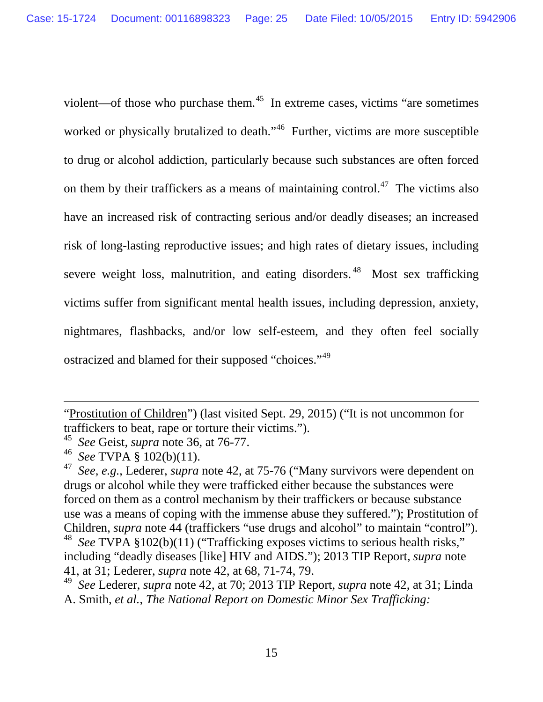violent—of those who purchase them.[45](#page-29-2) In extreme cases, victims "are sometimes worked or physically brutalized to death."<sup>[46](#page-29-3)</sup> Further, victims are more susceptible to drug or alcohol addiction, particularly because such substances are often forced on them by their traffickers as a means of maintaining control.<sup>[47](#page-29-4)</sup> The victims also have an increased risk of contracting serious and/or deadly diseases; an increased risk of long-lasting reproductive issues; and high rates of dietary issues, including severe weight loss, malnutrition, and eating disorders.<sup>[48](#page-29-5)</sup> Most sex trafficking victims suffer from significant mental health issues, including depression, anxiety, nightmares, flashbacks, and/or low self-esteem, and they often feel socially ostracized and blamed for their supposed "choices."[49](#page-30-4) 

<span id="page-29-6"></span><span id="page-29-1"></span><sup>&</sup>quot;Prostitution of Children") (last visited Sept. 29, 2015) ("It is not uncommon for traffickers to beat, rape or torture their victims.").

<sup>45</sup> *See* Geist*, supra* note [36,](#page-26-8) at 76-77.

<sup>46</sup> *See* TVPA § 102(b)(11).

<span id="page-29-4"></span><span id="page-29-3"></span><span id="page-29-2"></span><sup>47</sup> *See, e.g.*, Lederer, *supra* note [42,](#page-28-5) at 75-76 ("Many survivors were dependent on drugs or alcohol while they were trafficked either because the substances were forced on them as a control mechanism by their traffickers or because substance use was a means of coping with the immense abuse they suffered."); Prostitution of Children, *supra* note [44](#page-28-6) (traffickers "use drugs and alcohol" to maintain "control"). See TVPA §102(b)(11) ("Trafficking exposes victims to serious health risks,"

<span id="page-29-5"></span>including "deadly diseases [like] HIV and AIDS."); 2013 TIP Report, *supra* note 41, at 31; Lederer, *supra* note [42,](#page-28-5) at 68, 71-74, 79.

<span id="page-29-0"></span><sup>49</sup> *See* Lederer, *supra* note [42,](#page-28-5) at 70; 2013 TIP Report, *supra* note [42,](#page-28-5) at 31; Linda A. Smith, *et al.*, *The National Report on Domestic Minor Sex Trafficking:*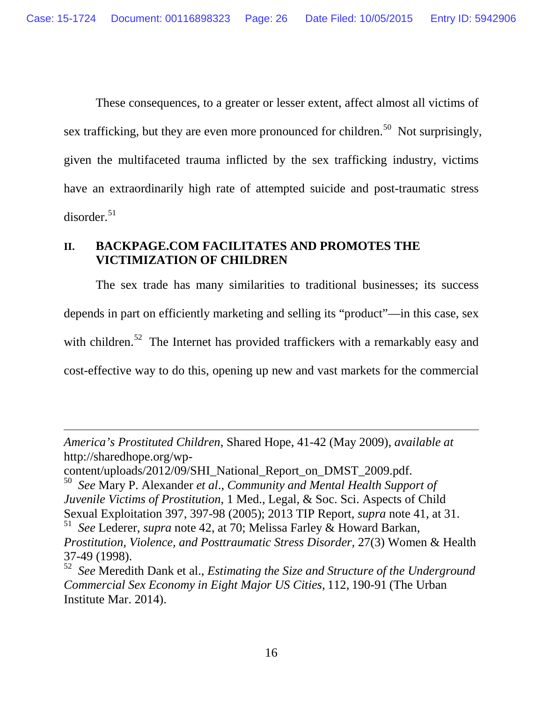These consequences, to a greater or lesser extent, affect almost all victims of sex trafficking, but they are even more pronounced for children.<sup>[50](#page-30-5)</sup> Not surprisingly, given the multifaceted trauma inflicted by the sex trafficking industry, victims have an extraordinarily high rate of attempted suicide and post-traumatic stress  $disorder.<sup>51</sup>$  $disorder.<sup>51</sup>$  $disorder.<sup>51</sup>$ 

## <span id="page-30-3"></span>**II. BACKPAGE.COM FACILITATES AND PROMOTES THE VICTIMIZATION OF CHILDREN**

The sex trade has many similarities to traditional businesses; its success depends in part on efficiently marketing and selling its "product"—in this case, sex with children.<sup>[52](#page-30-7)</sup> The Internet has provided traffickers with a remarkably easy and cost-effective way to do this, opening up new and vast markets for the commercial

<span id="page-30-4"></span>*America's Prostituted Children*, Shared Hope, 41-42 (May 2009), *available at* http://sharedhope.org/wp-

content/uploads/2012/09/SHI\_National\_Report\_on\_DMST\_2009.pdf.

<span id="page-30-5"></span><span id="page-30-0"></span><sup>50</sup> *See* Mary P. Alexander *et al*., *Community and Mental Health Support of Juvenile Victims of Prostitution*, 1 Med., Legal, & Soc. Sci. Aspects of Child Sexual Exploitation 397, 397-98 (2005); 2013 TIP Report, *supra* note 41, at 31. <sup>51</sup> *See* Lederer, *supra* note [42,](#page-28-5) at 70; Melissa Farley & Howard Barkan,

<span id="page-30-6"></span><span id="page-30-1"></span>*Prostitution, Violence, and Posttraumatic Stress Disorder,* 27(3) Women & Health 37-49 (1998).

<span id="page-30-7"></span><span id="page-30-2"></span><sup>52</sup> *See* Meredith Dank et al., *Estimating the Size and Structure of the Underground Commercial Sex Economy in Eight Major US Cities*, 112, 190-91 (The Urban Institute Mar. 2014).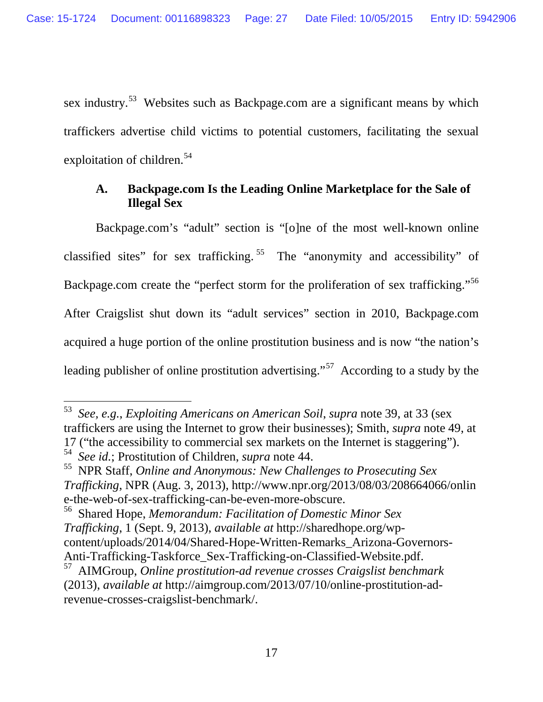sex industry.<sup>[53](#page-31-2)</sup> Websites such as Backpage.com are a significant means by which traffickers advertise child victims to potential customers, facilitating the sexual exploitation of children.<sup>[54](#page-31-3)</sup>

## <span id="page-31-8"></span><span id="page-31-7"></span>**A. Backpage.com Is the Leading Online Marketplace for the Sale of Illegal Sex**

Backpage.com's "adult" section is "[o]ne of the most well-known online classified sites" for sex trafficking. [55](#page-31-4) The "anonymity and accessibility" of Backpage.com create the "perfect storm for the proliferation of sex trafficking."[56](#page-31-5) After Craigslist shut down its "adult services" section in 2010, Backpage.com acquired a huge portion of the online prostitution business and is now "the nation's leading publisher of online prostitution advertising."<sup>57</sup> According to a study by the

<span id="page-31-6"></span><sup>53</sup> *See, e.g.*, *Exploiting Americans on American Soil*, *supra* note [39,](#page-27-7) at 33 (sex traffickers are using the Internet to grow their businesses); Smith, *supra* note [49,](#page-29-6) at 17 ("the accessibility to commercial sex markets on the Internet is staggering").<br><sup>54</sup> See id.; Prostitution of Children, *supra* note 44.  $\overline{a}$ 

<span id="page-31-2"></span><span id="page-31-1"></span><sup>54</sup> *See id.*; Prostitution of Children, *supra* note [44.](#page-28-6) <sup>55</sup> NPR Staff, *Online and Anonymous: New Challenges to Prosecuting Sex Trafficking*, NPR (Aug. 3, 2013), http://www.npr.org/2013/08/03/208664066/onlin e-the-web-of-sex-trafficking-can-be-even-more-obscure.

<span id="page-31-4"></span><span id="page-31-3"></span><sup>56</sup> Shared Hope, *Memorandum: Facilitation of Domestic Minor Sex Trafficking*, 1 (Sept. 9, 2013), *available at* http://sharedhope.org/wpcontent/uploads/2014/04/Shared-Hope-Written-Remarks\_Arizona-Governors-Anti-Trafficking-Taskforce\_Sex-Trafficking-on-Classified-Website.pdf.

<span id="page-31-5"></span><span id="page-31-0"></span><sup>57</sup> AIMGroup, *Online prostitution-ad revenue crosses Craigslist benchmark* (2013), *available at* http://aimgroup.com/2013/07/10/online-prostitution-adrevenue-crosses-craigslist-benchmark/.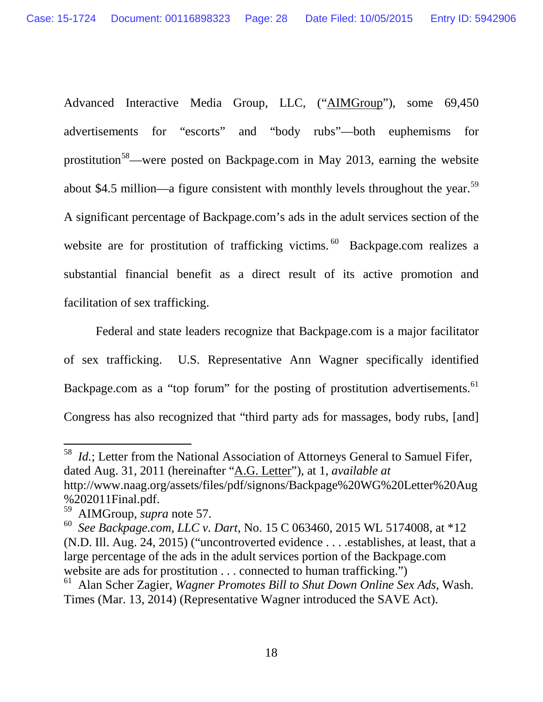<span id="page-32-5"></span>Advanced Interactive Media Group, LLC, ("AIMGroup"), some 69,450 advertisements for "escorts" and "body rubs"—both euphemisms for prostitution<sup>[58](#page-32-2)</sup>—were posted on Backpage.com in May 2013, earning the website about \$4.5 million—a figure consistent with monthly levels throughout the year.<sup>[59](#page-32-3)</sup> A significant percentage of Backpage.com's ads in the adult services section of the website are for prostitution of trafficking victims. [60](#page-32-4) Backpage.com realizes a substantial financial benefit as a direct result of its active promotion and facilitation of sex trafficking.

Federal and state leaders recognize that Backpage.com is a major facilitator of sex trafficking. U.S. Representative Ann Wagner specifically identified Backpage.com as a "top forum" for the posting of prostitution advertisements.<sup>[61](#page-33-1)</sup> Congress has also recognized that "third party ads for massages, body rubs, [and]

<span id="page-32-2"></span><span id="page-32-1"></span><span id="page-32-0"></span><sup>58</sup> *Id.*; Letter from the National Association of Attorneys General to Samuel Fifer, dated Aug. 31, 2011 (hereinafter "A.G. Letter"), at 1, *available at*  http://www.naag.org/assets/files/pdf/signons/Backpage%20WG%20Letter%20Aug %202011Final.pdf.<br><sup>59</sup> AIMGroup, *supra* note 57.

<span id="page-32-4"></span><span id="page-32-3"></span><sup>&</sup>lt;sup>60</sup> See Backpage.com, LLC v. Dart, No. 15 C 063460, 2015 WL 5174008, at \*12 (N.D. Ill. Aug. 24, 2015) ("uncontroverted evidence . . . .establishes, at least, that a large percentage of the ads in the adult services portion of the Backpage.com website are ads for prostitution . . . connected to human trafficking."

<sup>61</sup> Alan Scher Zagier, *Wagner Promotes Bill to Shut Down Online Sex Ads*, Wash. Times (Mar. 13, 2014) (Representative Wagner introduced the SAVE Act).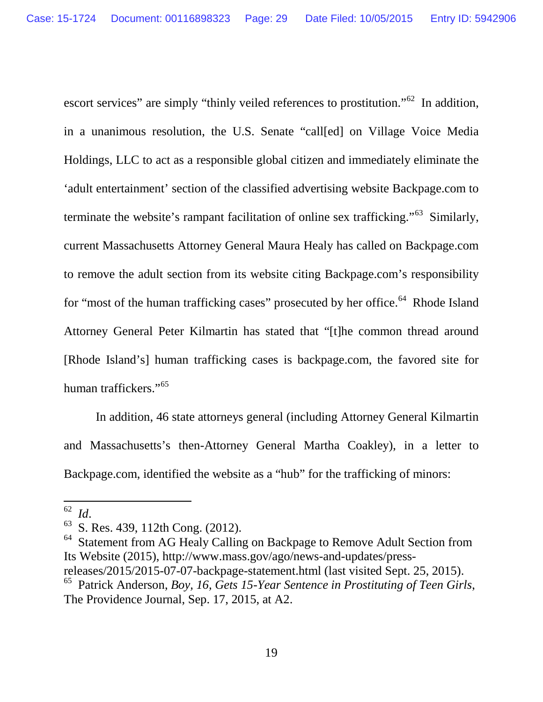escort services" are simply "thinly veiled references to prostitution."<sup>62</sup> In addition, in a unanimous resolution, the U.S. Senate "call[ed] on Village Voice Media Holdings, LLC to act as a responsible global citizen and immediately eliminate the 'adult entertainment' section of the classified advertising website Backpage.com to terminate the website's rampant facilitation of online sex trafficking."<sup>[63](#page-33-3)</sup> Similarly, current Massachusetts Attorney General Maura Healy has called on Backpage.com to remove the adult section from its website citing Backpage.com's responsibility for "most of the human trafficking cases" prosecuted by her office.<sup>[64](#page-33-4)</sup> Rhode Island Attorney General Peter Kilmartin has stated that "[t]he common thread around [Rhode Island's] human trafficking cases is backpage.com, the favored site for human traffickers."<sup>[65](#page-34-0)</sup>

In addition, 46 state attorneys general (including Attorney General Kilmartin and Massachusetts's then-Attorney General Martha Coakley), in a letter to Backpage.com, identified the website as a "hub" for the trafficking of minors:

<span id="page-33-1"></span> $62$  *Id.* 

<sup>&</sup>lt;sup>63</sup> S. Res. 439, 112th Cong. (2012).

<span id="page-33-3"></span><span id="page-33-2"></span>Statement from AG Healy Calling on Backpage to Remove Adult Section from Its Website (2015), http://www.mass.gov/ago/news-and-updates/press-

<span id="page-33-4"></span>releases/2015/2015-07-07-backpage-statement.html (last visited Sept. 25, 2015).

<span id="page-33-0"></span><sup>65</sup> Patrick Anderson, *Boy, 16, Gets 15-Year Sentence in Prostituting of Teen Girls*, The Providence Journal, Sep. 17, 2015, at A2.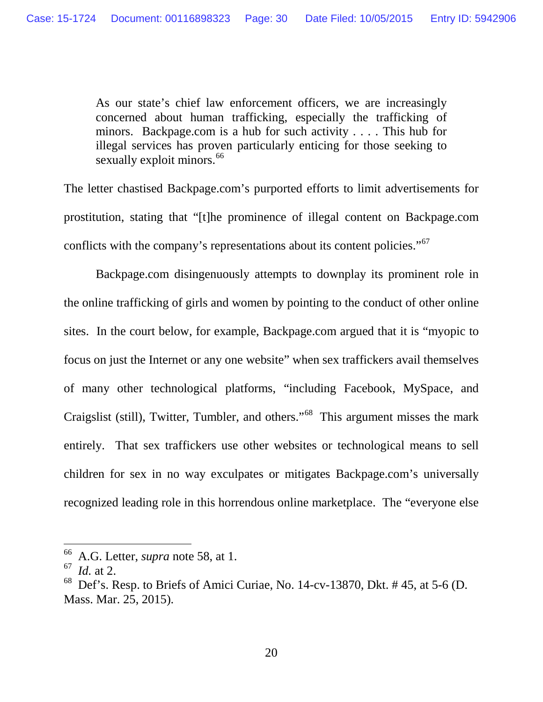As our state's chief law enforcement officers, we are increasingly concerned about human trafficking, especially the trafficking of minors. Backpage.com is a hub for such activity . . . . This hub for illegal services has proven particularly enticing for those seeking to sexually exploit minors.<sup>[66](#page-34-1)</sup>

The letter chastised Backpage.com's purported efforts to limit advertisements for prostitution, stating that "[t]he prominence of illegal content on Backpage.com conflicts with the company's representations about its content policies."<sup>67</sup>

Backpage.com disingenuously attempts to downplay its prominent role in the online trafficking of girls and women by pointing to the conduct of other online sites. In the court below, for example, Backpage.com argued that it is "myopic to focus on just the Internet or any one website" when sex traffickers avail themselves of many other technological platforms, "including Facebook, MySpace, and Craigslist (still), Twitter, Tumbler, and others."[68](#page-35-0) This argument misses the mark entirely. That sex traffickers use other websites or technological means to sell children for sex in no way exculpates or mitigates Backpage.com's universally recognized leading role in this horrendous online marketplace. The "everyone else

<span id="page-34-0"></span><sup>66</sup> A.G. Letter, *supra* note [58,](#page-32-5) at 1.

<sup>67</sup> *Id.* at 2.

<span id="page-34-2"></span><span id="page-34-1"></span>Def's. Resp. to Briefs of Amici Curiae, No. 14-cv-13870, Dkt. # 45, at 5-6 (D. Mass. Mar. 25, 2015).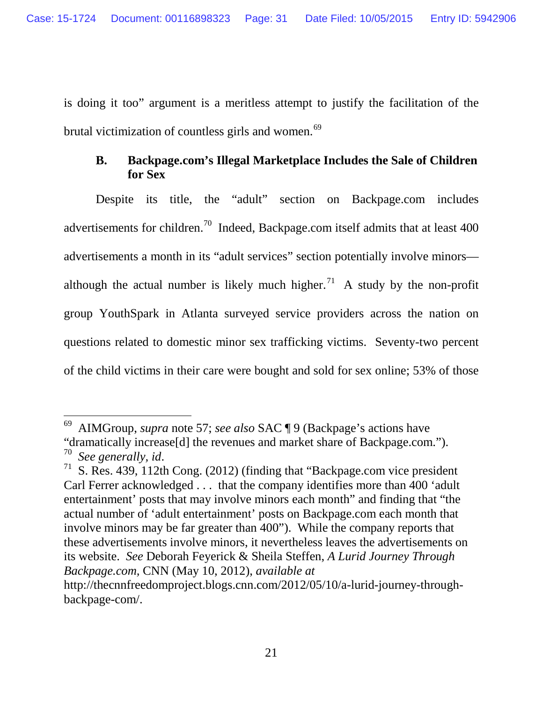is doing it too" argument is a meritless attempt to justify the facilitation of the brutal victimization of countless girls and women.<sup>69</sup>

## **B. Backpage.com's Illegal Marketplace Includes the Sale of Children for Sex**

Despite its title, the "adult" section on Backpage.com includes advertisements for children.<sup>70</sup> Indeed, Backpage.com itself admits that at least 400 advertisements a month in its "adult services" section potentially involve minors— although the actual number is likely much higher.<sup>[71](#page-35-3)</sup> A study by the non-profit group YouthSpark in Atlanta surveyed service providers across the nation on questions related to domestic minor sex trafficking victims. Seventy-two percent of the child victims in their care were bought and sold for sex online; 53% of those

<sup>69</sup> AIMGroup, *supra* note [57;](#page-31-6) *see also* SAC ¶ 9 (Backpage's actions have "dramatically increase[d] the revenues and market share of Backpage.com."). To See generally, id.  $\overline{a}$ 

<span id="page-35-1"></span><span id="page-35-0"></span><sup>&</sup>lt;sup>71</sup> S. Res. 439, 112th Cong. (2012) (finding that "Backpage.com vice president Carl Ferrer acknowledged . . . that the company identifies more than 400 'adult entertainment' posts that may involve minors each month" and finding that "the actual number of 'adult entertainment' posts on Backpage.com each month that involve minors may be far greater than 400"). While the company reports that these advertisements involve minors, it nevertheless leaves the advertisements on its website. *See* Deborah Feyerick & Sheila Steffen, *A Lurid Journey Through Backpage.com,* CNN (May 10, 2012), *available at* 

<span id="page-35-3"></span><span id="page-35-2"></span>http://thecnnfreedomproject.blogs.cnn.com/2012/05/10/a-lurid-journey-throughbackpage-com/.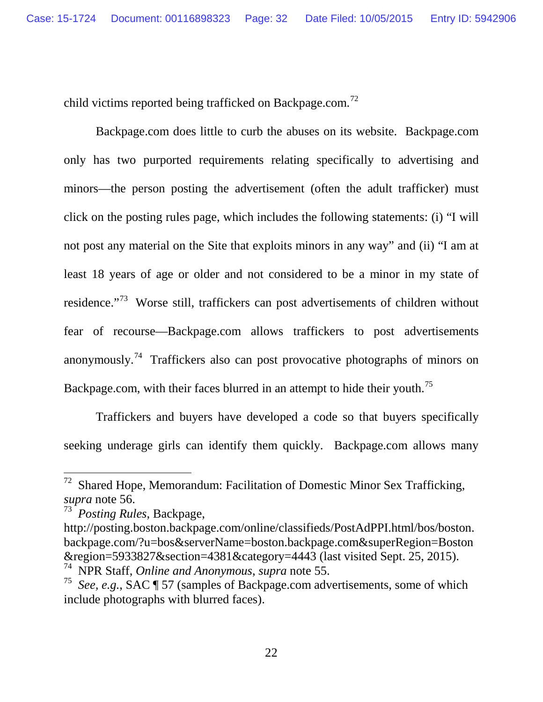child victims reported being trafficked on Backpage.com.<sup>[72](#page-36-1)</sup>

Backpage.com does little to curb the abuses on its website. Backpage.com only has two purported requirements relating specifically to advertising and minors—the person posting the advertisement (often the adult trafficker) must click on the posting rules page, which includes the following statements: (i) "I will not post any material on the Site that exploits minors in any way" and (ii) "I am at least 18 years of age or older and not considered to be a minor in my state of residence."[73](#page-36-2) Worse still, traffickers can post advertisements of children without fear of recourse—Backpage.com allows traffickers to post advertisements anonymously.<sup>74</sup> Traffickers also can post provocative photographs of minors on Backpage.com, with their faces blurred in an attempt to hide their youth.<sup>[75](#page-37-3)</sup>

Traffickers and buyers have developed a code so that buyers specifically seeking underage girls can identify them quickly. Backpage.com allows many

 $72$  Shared Hope, Memorandum: Facilitation of Domestic Minor Sex Trafficking, *supra* note [56.](#page-31-7) <sup>73</sup> *Posting Rules*, Backpage,

<span id="page-36-0"></span>

<span id="page-36-1"></span>http://posting.boston.backpage.com/online/classifieds/PostAdPPI.html/bos/boston. backpage.com/?u=bos&serverName=boston.backpage.com&superRegion=Boston &region=5933827&section=4381&category=4443 (last visited Sept. 25, 2015).

<span id="page-36-2"></span><sup>74</sup> NPR Staff, *Online and Anonymous*, *supra* note [55.](#page-31-8) 75 *See, e.g.*, SAC ¶ 57 (samples of Backpage.com advertisements, some of which include photographs with blurred faces).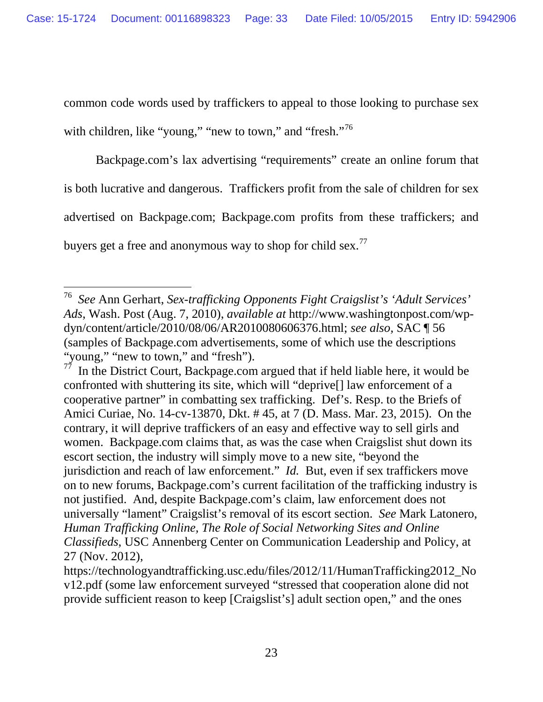common code words used by traffickers to appeal to those looking to purchase sex with children, like "young," "new to town," and "fresh."<sup>[76](#page-37-4)</sup>

Backpage.com's lax advertising "requirements" create an online forum that is both lucrative and dangerous. Traffickers profit from the sale of children for sex advertised on Backpage.com; Backpage.com profits from these traffickers; and buyers get a free and anonymous way to shop for child sex.<sup>[77](#page-37-5)</sup>

<span id="page-37-0"></span><sup>76</sup> *See* Ann Gerhart, *Sex-trafficking Opponents Fight Craigslist's 'Adult Services' Ads*, Wash. Post (Aug. 7, 2010), *available at* http://www.washingtonpost.com/wpdyn/content/article/2010/08/06/AR2010080606376.html; *see also,* SAC ¶ 56 (samples of Backpage.com advertisements, some of which use the descriptions "young," "new to town," and "fresh").

<span id="page-37-4"></span><span id="page-37-3"></span><span id="page-37-2"></span>In the District Court, Backpage.com argued that if held liable here, it would be confronted with shuttering its site, which will "deprive[] law enforcement of a cooperative partner" in combatting sex trafficking. Def's. Resp. to the Briefs of Amici Curiae, No. 14-cv-13870, Dkt. # 45, at 7 (D. Mass. Mar. 23, 2015). On the contrary, it will deprive traffickers of an easy and effective way to sell girls and women. Backpage.com claims that, as was the case when Craigslist shut down its escort section, the industry will simply move to a new site, "beyond the jurisdiction and reach of law enforcement." *Id.* But, even if sex traffickers move on to new forums, Backpage.com's current facilitation of the trafficking industry is not justified. And, despite Backpage.com's claim, law enforcement does not universally "lament" Craigslist's removal of its escort section. *See* Mark Latonero, *Human Trafficking Online, The Role of Social Networking Sites and Online Classifieds*, USC Annenberg Center on Communication Leadership and Policy, at 27 (Nov. 2012),

<span id="page-37-5"></span><span id="page-37-1"></span>https://technologyandtrafficking.usc.edu/files/2012/11/HumanTrafficking2012\_No v12.pdf (some law enforcement surveyed "stressed that cooperation alone did not provide sufficient reason to keep [Craigslist's] adult section open," and the ones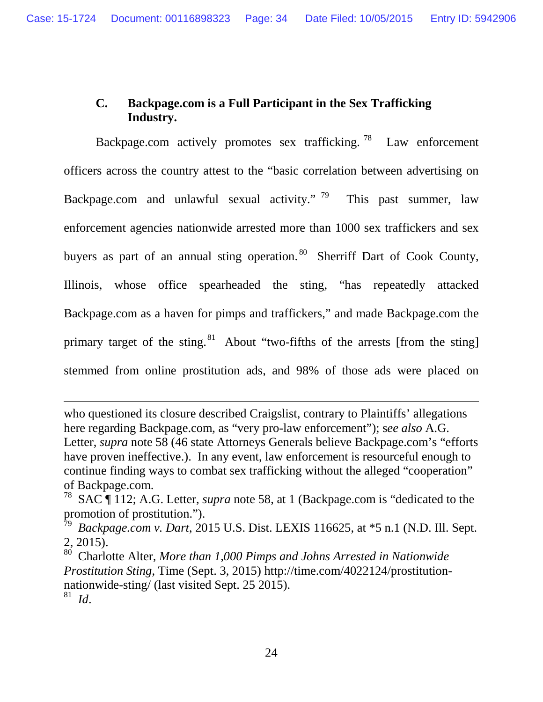## **C. Backpage.com is a Full Participant in the Sex Trafficking Industry.**

Backpage.com actively promotes sex trafficking.<sup>[78](#page-38-1)</sup> Law enforcement officers across the country attest to the "basic correlation between advertising on Backpage.com and unlawful sexual activity." <sup>[79](#page-38-2)</sup> This past summer, law enforcement agencies nationwide arrested more than 1000 sex traffickers and sex buyers as part of an annual sting operation.<sup>[80](#page-39-0)</sup> Sherriff Dart of Cook County, Illinois, whose office spearheaded the sting, "has repeatedly attacked Backpage.com as a haven for pimps and traffickers," and made Backpage.com the primary target of the sting.<sup>[81](#page-39-1)</sup> About "two-fifths of the arrests [from the sting] stemmed from online prostitution ads, and 98% of those ads were placed on

who questioned its closure described Craigslist, contrary to Plaintiffs' allegations here regarding Backpage.com, as "very pro-law enforcement"); s*ee also* A.G. Letter, *supra* note [58](#page-32-5) (46 state Attorneys Generals believe Backpage.com's "efforts have proven ineffective.). In any event, law enforcement is resourceful enough to continue finding ways to combat sex trafficking without the alleged "cooperation" of Backpage.com.

<sup>78</sup> SAC ¶ 112; A.G. Letter, *supra* note [58,](#page-32-5) at 1 (Backpage.com is "dedicated to the promotion of prostitution.").

<sup>79</sup> *Backpage.com v. Dart*, 2015 U.S. Dist. LEXIS 116625, at \*5 n.1 (N.D. Ill. Sept. 2, 2015).

<span id="page-38-1"></span><span id="page-38-0"></span><sup>80</sup> Charlotte Alter*, More than 1,000 Pimps and Johns Arrested in Nationwide Prostitution Sting*, Time (Sept. 3, 2015) http://time.com/4022124/prostitutionnationwide-sting/ (last visited Sept. 25 2015).

<span id="page-38-2"></span><sup>81</sup> *Id*.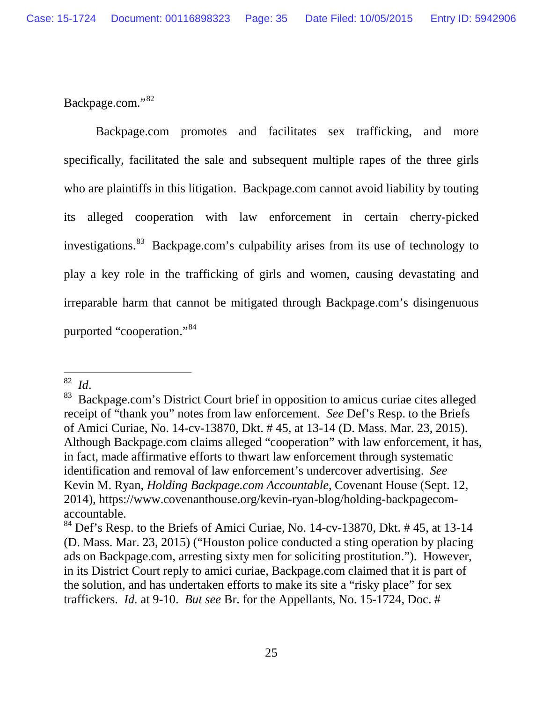Backpage.com."[82](#page-39-2)

Backpage.com promotes and facilitates sex trafficking, and more specifically, facilitated the sale and subsequent multiple rapes of the three girls who are plaintiffs in this litigation. Backpage.com cannot avoid liability by touting its alleged cooperation with law enforcement in certain cherry-picked investigations.<sup>83</sup> Backpage.com's culpability arises from its use of technology to play a key role in the trafficking of girls and women, causing devastating and irreparable harm that cannot be mitigated through Backpage.com's disingenuous purported "cooperation."[84](#page-40-0) 

 $82$  *Id.* 

<span id="page-39-0"></span><sup>&</sup>lt;sup>83</sup> Backpage.com's District Court brief in opposition to amicus curiae cites alleged receipt of "thank you" notes from law enforcement. *See* Def's Resp. to the Briefs of Amici Curiae, No. 14-cv-13870, Dkt. # 45, at 13-14 (D. Mass. Mar. 23, 2015). Although Backpage.com claims alleged "cooperation" with law enforcement, it has, in fact, made affirmative efforts to thwart law enforcement through systematic identification and removal of law enforcement's undercover advertising. *See* Kevin M. Ryan, *Holding Backpage.com Accountable*, Covenant House (Sept. 12, 2014), https://www.covenanthouse.org/kevin-ryan-blog/holding-backpagecomaccountable.

<span id="page-39-3"></span><span id="page-39-2"></span><span id="page-39-1"></span> $84$  Def's Resp. to the Briefs of Amici Curiae, No. 14-cv-13870, Dkt. # 45, at 13-14 (D. Mass. Mar. 23, 2015) ("Houston police conducted a sting operation by placing ads on Backpage.com, arresting sixty men for soliciting prostitution."). However, in its District Court reply to amici curiae, Backpage.com claimed that it is part of the solution, and has undertaken efforts to make its site a "risky place" for sex traffickers. *Id.* at 9-10. *But see* Br. for the Appellants, No. 15-1724, Doc. #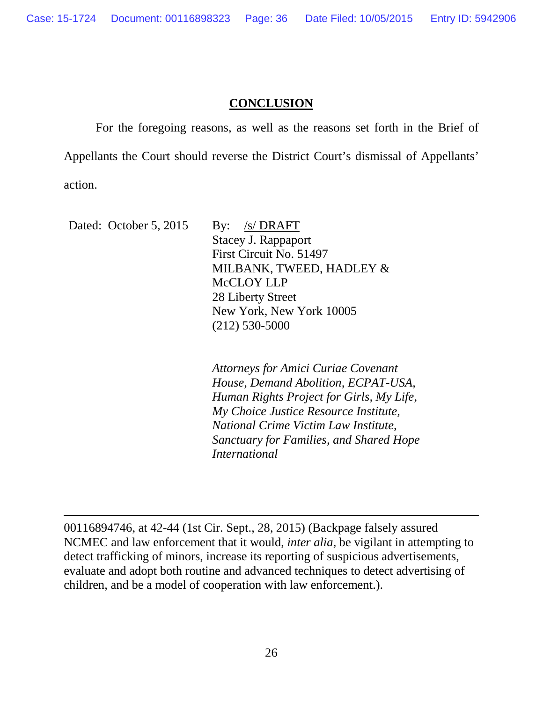## **CONCLUSION**

For the foregoing reasons, as well as the reasons set forth in the Brief of Appellants the Court should reverse the District Court's dismissal of Appellants' action.

Dated: October 5, 2015 By: /s/ DRAFT Stacey J. Rappaport First Circuit No. 51497 MILBANK, TWEED, HADLEY & McCLOY LLP 28 Liberty Street New York, New York 10005 (212) 530-5000

> *Attorneys for Amici Curiae Covenant House, Demand Abolition, ECPAT-USA, Human Rights Project for Girls, My Life, My Choice Justice Resource Institute, National Crime Victim Law Institute, Sanctuary for Families, and Shared Hope International*

<span id="page-40-0"></span>00116894746, at 42-44 (1st Cir. Sept., 28, 2015) (Backpage falsely assured NCMEC and law enforcement that it would, *inter alia*, be vigilant in attempting to detect trafficking of minors, increase its reporting of suspicious advertisements, evaluate and adopt both routine and advanced techniques to detect advertising of children, and be a model of cooperation with law enforcement.).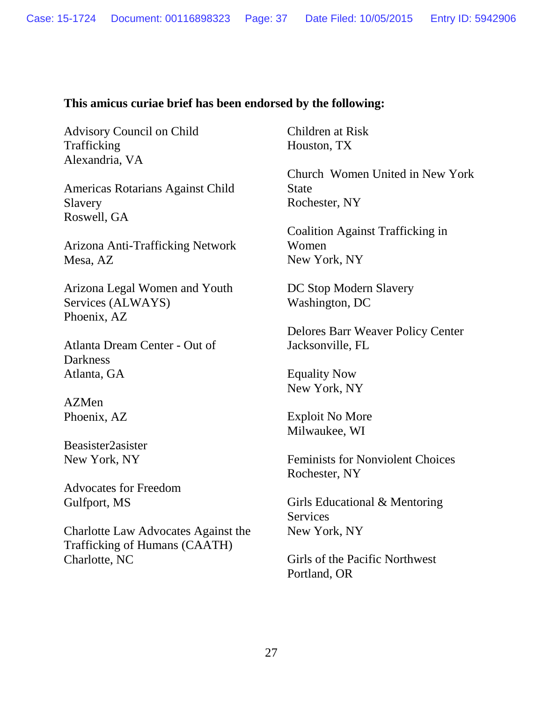## **This amicus curiae brief has been endorsed by the following:**

Advisory Council on Child Trafficking Alexandria, VA

Americas Rotarians Against Child Slavery Roswell, GA

Arizona Anti-Trafficking Network Mesa, AZ

Arizona Legal Women and Youth Services (ALWAYS) Phoenix, AZ

Atlanta Dream Center - Out of **Darkness** Atlanta, GA

AZMen Phoenix, AZ

Beasister2asister New York, NY

Advocates for Freedom Gulfport, MS

Charlotte Law Advocates Against the Trafficking of Humans (CAATH) Charlotte, NC

Children at Risk Houston, TX

Church Women United in New York State Rochester, NY

Coalition Against Trafficking in Women New York, NY

DC Stop Modern Slavery Washington, DC

Delores Barr Weaver Policy Center Jacksonville, FL

Equality Now New York, NY

Exploit No More Milwaukee, WI

Feminists for Nonviolent Choices Rochester, NY

Girls Educational & Mentoring **Services** New York, NY

Girls of the Pacific Northwest Portland, OR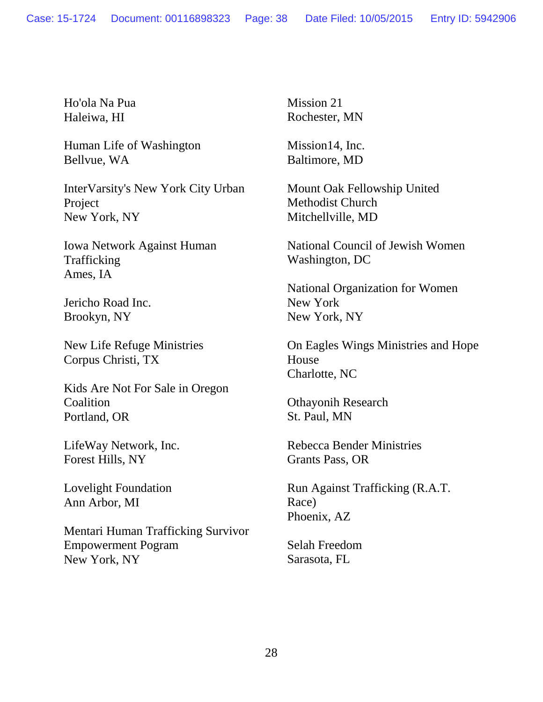Ho'ola Na Pua Haleiwa, HI

Human Life of Washington Bellvue, WA

InterVarsity's New York City Urban Project New York, NY

Iowa Network Against Human Trafficking Ames, IA

Jericho Road Inc. Brookyn, NY

New Life Refuge Ministries Corpus Christi, TX

Kids Are Not For Sale in Oregon **Coalition** Portland, OR

LifeWay Network, Inc. Forest Hills, NY

Lovelight Foundation Ann Arbor, MI

Mentari Human Trafficking Survivor Empowerment Pogram New York, NY

Mission 21 Rochester, MN

Mission14, Inc. Baltimore, MD

Mount Oak Fellowship United Methodist Church Mitchellville, MD

National Council of Jewish Women Washington, DC

National Organization for Women New York New York, NY

On Eagles Wings Ministries and Hope House Charlotte, NC

Othayonih Research St. Paul, MN

Rebecca Bender Ministries Grants Pass, OR

Run Against Trafficking (R.A.T. Race) Phoenix, AZ

Selah Freedom Sarasota, FL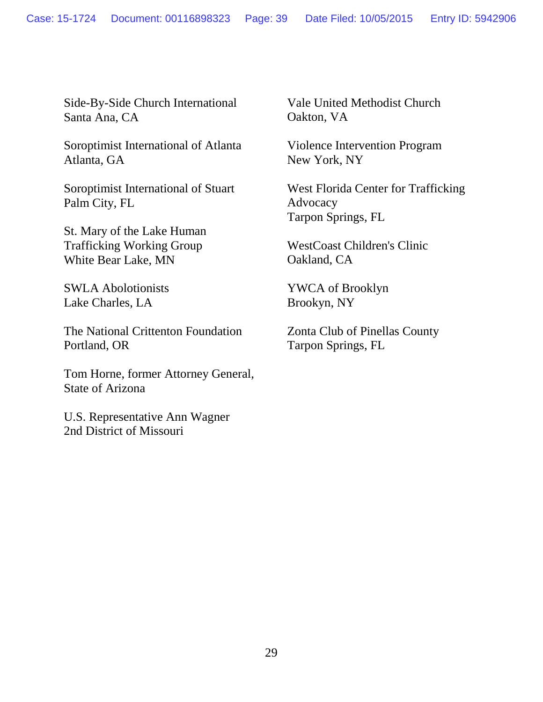Side-By-Side Church International Santa Ana, CA

Soroptimist International of Atlanta Atlanta, GA

Soroptimist International of Stuart Palm City, FL

St. Mary of the Lake Human Trafficking Working Group White Bear Lake, MN

SWLA Abolotionists Lake Charles, LA

The National Crittenton Foundation Portland, OR

Tom Horne, former Attorney General, State of Arizona

U.S. Representative Ann Wagner 2nd District of Missouri

Vale United Methodist Church Oakton, VA

Violence Intervention Program New York, NY

West Florida Center for Trafficking Advocacy Tarpon Springs, FL

WestCoast Children's Clinic Oakland, CA

YWCA of Brooklyn Brookyn, NY

Zonta Club of Pinellas County Tarpon Springs, FL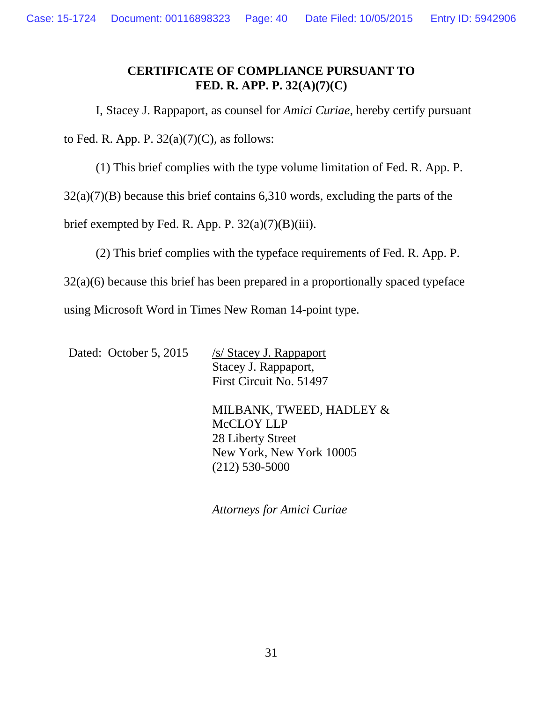## **CERTIFICATE OF COMPLIANCE PURSUANT TO FED. R. APP. P. 32(A)(7)(C)**

I, Stacey J. Rappaport, as counsel for *Amici Curiae*, hereby certify pursuant

to Fed. R. App. P.  $32(a)(7)(C)$ , as follows:

(1) This brief complies with the type volume limitation of Fed. R. App. P.

32(a)(7)(B) because this brief contains 6,310 words, excluding the parts of the

brief exempted by Fed. R. App. P.  $32(a)(7)(B)(iii)$ .

(2) This brief complies with the typeface requirements of Fed. R. App. P.

32(a)(6) because this brief has been prepared in a proportionally spaced typeface

using Microsoft Word in Times New Roman 14-point type.

Dated: October 5, 2015 /s/ Stacey J. Rappaport

Stacey J. Rappaport, First Circuit No. 51497

MILBANK, TWEED, HADLEY & McCLOY LLP 28 Liberty Street New York, New York 10005 (212) 530-5000

*Attorneys for Amici Curiae*